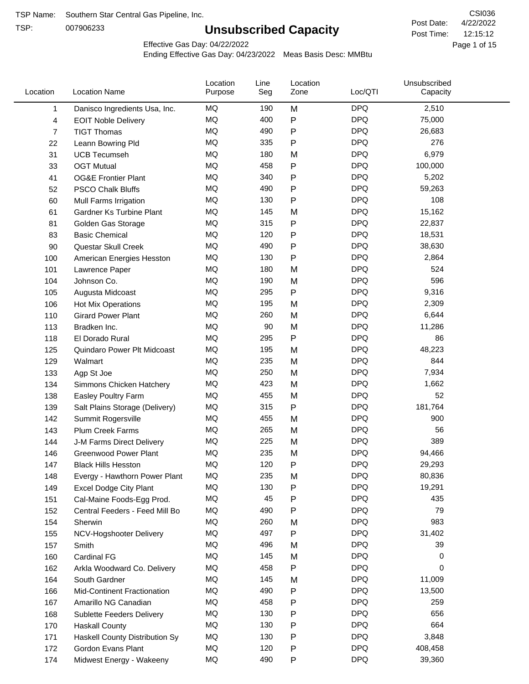TSP:

# **Unsubscribed Capacity**

4/22/2022 Page 1 of 15 12:15:12 CSI036 Post Date: Post Time:

Effective Gas Day: 04/22/2022

| Location |     | <b>Location Name</b>               | Location<br>Purpose | Line<br>Seg | Location<br>Zone | Loc/QTI    | Unsubscribed<br>Capacity |  |
|----------|-----|------------------------------------|---------------------|-------------|------------------|------------|--------------------------|--|
|          | 1   | Danisco Ingredients Usa, Inc.      | MQ                  | 190         | M                | <b>DPQ</b> | 2,510                    |  |
|          | 4   | <b>EOIT Noble Delivery</b>         | MQ                  | 400         | ${\sf P}$        | <b>DPQ</b> | 75,000                   |  |
|          | 7   | <b>TIGT Thomas</b>                 | <b>MQ</b>           | 490         | ${\sf P}$        | <b>DPQ</b> | 26,683                   |  |
|          | 22  | Leann Bowring Pld                  | MQ                  | 335         | P                | <b>DPQ</b> | 276                      |  |
|          | 31  | <b>UCB Tecumseh</b>                | <b>MQ</b>           | 180         | M                | <b>DPQ</b> | 6,979                    |  |
|          | 33  | <b>OGT Mutual</b>                  | <b>MQ</b>           | 458         | P                | <b>DPQ</b> | 100,000                  |  |
|          | 41  | <b>OG&amp;E Frontier Plant</b>     | MQ                  | 340         | P                | <b>DPQ</b> | 5,202                    |  |
|          | 52  | <b>PSCO Chalk Bluffs</b>           | MQ                  | 490         | P                | <b>DPQ</b> | 59,263                   |  |
|          | 60  | Mull Farms Irrigation              | MQ                  | 130         | P                | <b>DPQ</b> | 108                      |  |
|          | 61  | Gardner Ks Turbine Plant           | MQ                  | 145         | M                | <b>DPQ</b> | 15,162                   |  |
|          | 81  | Golden Gas Storage                 | MQ                  | 315         | P                | <b>DPQ</b> | 22,837                   |  |
|          | 83  | <b>Basic Chemical</b>              | MQ                  | 120         | P                | <b>DPQ</b> | 18,531                   |  |
|          | 90  | Questar Skull Creek                | MQ                  | 490         | ${\sf P}$        | <b>DPQ</b> | 38,630                   |  |
|          | 100 | American Energies Hesston          | MQ                  | 130         | P                | <b>DPQ</b> | 2,864                    |  |
|          | 101 | Lawrence Paper                     | MQ                  | 180         | M                | <b>DPQ</b> | 524                      |  |
|          | 104 | Johnson Co.                        | MQ                  | 190         | M                | <b>DPQ</b> | 596                      |  |
|          | 105 | Augusta Midcoast                   | MQ                  | 295         | P                | <b>DPQ</b> | 9,316                    |  |
|          | 106 | Hot Mix Operations                 | MQ                  | 195         | M                | <b>DPQ</b> | 2,309                    |  |
|          | 110 | <b>Girard Power Plant</b>          | <b>MQ</b>           | 260         | M                | <b>DPQ</b> | 6,644                    |  |
|          | 113 | Bradken Inc.                       | MQ                  | 90          | M                | <b>DPQ</b> | 11,286                   |  |
|          | 118 | El Dorado Rural                    | MQ                  | 295         | P                | <b>DPQ</b> | 86                       |  |
|          | 125 | Quindaro Power Plt Midcoast        | <b>MQ</b>           | 195         | M                | <b>DPQ</b> | 48,223                   |  |
|          | 129 | Walmart                            | <b>MQ</b>           | 235         | M                | <b>DPQ</b> | 844                      |  |
|          | 133 | Agp St Joe                         | MQ                  | 250         | M                | <b>DPQ</b> | 7,934                    |  |
|          | 134 | Simmons Chicken Hatchery           | MQ                  | 423         | M                | <b>DPQ</b> | 1,662                    |  |
|          | 138 | Easley Poultry Farm                | MQ                  | 455         | M                | <b>DPQ</b> | 52                       |  |
|          | 139 | Salt Plains Storage (Delivery)     | MQ                  | 315         | P                | <b>DPQ</b> | 181,764                  |  |
|          | 142 | Summit Rogersville                 | MQ                  | 455         | M                | <b>DPQ</b> | 900                      |  |
|          | 143 | <b>Plum Creek Farms</b>            | MQ                  | 265         | M                | <b>DPQ</b> | 56                       |  |
|          | 144 | J-M Farms Direct Delivery          | MQ                  | 225         | M                | <b>DPQ</b> | 389                      |  |
|          | 146 | <b>Greenwood Power Plant</b>       | MQ                  | 235         | M                | <b>DPQ</b> | 94,466                   |  |
|          | 147 | <b>Black Hills Hesston</b>         | MQ                  | 120         | Ρ                | <b>DPQ</b> | 29,293                   |  |
|          | 148 | Evergy - Hawthorn Power Plant      | МQ                  | 235         | M                | <b>DPQ</b> | 80,836                   |  |
|          | 149 | Excel Dodge City Plant             | MQ                  | 130         | P                | <b>DPQ</b> | 19,291                   |  |
|          | 151 | Cal-Maine Foods-Egg Prod.          | MQ                  | 45          | ${\sf P}$        | <b>DPQ</b> | 435                      |  |
|          | 152 | Central Feeders - Feed Mill Bo     | MQ                  | 490         | P                | <b>DPQ</b> | 79                       |  |
|          | 154 | Sherwin                            | MQ                  | 260         | M                | <b>DPQ</b> | 983                      |  |
|          | 155 | NCV-Hogshooter Delivery            | MQ                  | 497         | P                | <b>DPQ</b> | 31,402                   |  |
|          | 157 | Smith                              | MQ                  | 496         | M                | <b>DPQ</b> | 39                       |  |
|          | 160 | <b>Cardinal FG</b>                 | MQ                  | 145         | M                | <b>DPQ</b> | 0                        |  |
|          | 162 | Arkla Woodward Co. Delivery        | MQ                  | 458         | P                | <b>DPQ</b> | 0                        |  |
|          | 164 | South Gardner                      | MQ                  | 145         | M                | <b>DPQ</b> | 11,009                   |  |
|          | 166 | <b>Mid-Continent Fractionation</b> | MQ                  | 490         | P                | <b>DPQ</b> | 13,500                   |  |
|          | 167 | Amarillo NG Canadian               | MQ                  | 458         | P                | <b>DPQ</b> | 259                      |  |
|          | 168 | <b>Sublette Feeders Delivery</b>   | MQ                  | 130         | P                | <b>DPQ</b> | 656                      |  |
|          | 170 | <b>Haskall County</b>              | MQ                  | 130         | P                | <b>DPQ</b> | 664                      |  |
|          | 171 | Haskell County Distribution Sy     | MQ                  | 130         | P                | <b>DPQ</b> | 3,848                    |  |
|          | 172 | Gordon Evans Plant                 | MQ                  | 120         | P                | <b>DPQ</b> | 408,458                  |  |
|          | 174 | Midwest Energy - Wakeeny           | MQ                  | 490         | P                | <b>DPQ</b> | 39,360                   |  |
|          |     |                                    |                     |             |                  |            |                          |  |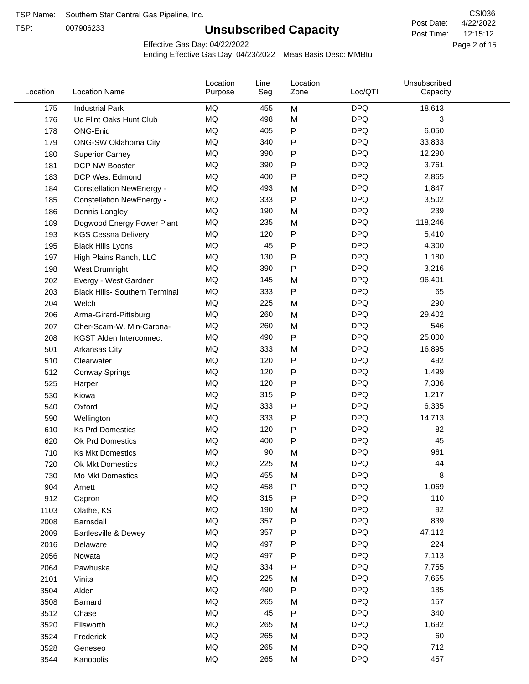TSP:

# **Unsubscribed Capacity**

4/22/2022 Page 2 of 15 12:15:12 CSI036 Post Date: Post Time:

Effective Gas Day: 04/22/2022

| Location | <b>Location Name</b>                  | Location<br>Purpose | Line<br>Seg | Location<br>Zone | Loc/QTI    | Unsubscribed<br>Capacity |  |
|----------|---------------------------------------|---------------------|-------------|------------------|------------|--------------------------|--|
| 175      | <b>Industrial Park</b>                | <b>MQ</b>           | 455         | M                | <b>DPQ</b> | 18,613                   |  |
| 176      | Uc Flint Oaks Hunt Club               | MQ                  | 498         | M                | <b>DPQ</b> | 3                        |  |
| 178      | ONG-Enid                              | <b>MQ</b>           | 405         | P                | <b>DPQ</b> | 6,050                    |  |
| 179      | <b>ONG-SW Oklahoma City</b>           | <b>MQ</b>           | 340         | Ρ                | <b>DPQ</b> | 33,833                   |  |
| 180      | <b>Superior Carney</b>                | <b>MQ</b>           | 390         | P                | <b>DPQ</b> | 12,290                   |  |
| 181      | DCP NW Booster                        | <b>MQ</b>           | 390         | P                | <b>DPQ</b> | 3,761                    |  |
| 183      | <b>DCP West Edmond</b>                | MQ                  | 400         | Ρ                | <b>DPQ</b> | 2,865                    |  |
| 184      | <b>Constellation NewEnergy -</b>      | MQ                  | 493         | M                | <b>DPQ</b> | 1,847                    |  |
| 185      | <b>Constellation NewEnergy -</b>      | MQ                  | 333         | P                | <b>DPQ</b> | 3,502                    |  |
| 186      | Dennis Langley                        | <b>MQ</b>           | 190         | M                | <b>DPQ</b> | 239                      |  |
| 189      | Dogwood Energy Power Plant            | <b>MQ</b>           | 235         | M                | <b>DPQ</b> | 118,246                  |  |
| 193      | <b>KGS Cessna Delivery</b>            | <b>MQ</b>           | 120         | P                | <b>DPQ</b> | 5,410                    |  |
| 195      | <b>Black Hills Lyons</b>              | MQ                  | 45          | P                | <b>DPQ</b> | 4,300                    |  |
| 197      | High Plains Ranch, LLC                | <b>MQ</b>           | 130         | P                | <b>DPQ</b> | 1,180                    |  |
| 198      | West Drumright                        | <b>MQ</b>           | 390         | $\mathsf{P}$     | <b>DPQ</b> | 3,216                    |  |
| 202      | Evergy - West Gardner                 | <b>MQ</b>           | 145         | M                | <b>DPQ</b> | 96,401                   |  |
| 203      | <b>Black Hills- Southern Terminal</b> | <b>MQ</b>           | 333         | P                | <b>DPQ</b> | 65                       |  |
| 204      | Welch                                 | MQ                  | 225         | M                | <b>DPQ</b> | 290                      |  |
| 206      | Arma-Girard-Pittsburg                 | <b>MQ</b>           | 260         | M                | <b>DPQ</b> | 29,402                   |  |
| 207      | Cher-Scam-W. Min-Carona-              | <b>MQ</b>           | 260         | M                | <b>DPQ</b> | 546                      |  |
| 208      | <b>KGST Alden Interconnect</b>        | MQ                  | 490         | P                | <b>DPQ</b> | 25,000                   |  |
| 501      | Arkansas City                         | MQ                  | 333         | M                | <b>DPQ</b> | 16,895                   |  |
| 510      | Clearwater                            | <b>MQ</b>           | 120         | Ρ                | <b>DPQ</b> | 492                      |  |
| 512      | <b>Conway Springs</b>                 | <b>MQ</b>           | 120         | P                | <b>DPQ</b> | 1,499                    |  |
| 525      | Harper                                | MQ                  | 120         | Ρ                | <b>DPQ</b> | 7,336                    |  |
| 530      | Kiowa                                 | <b>MQ</b>           | 315         | P                | <b>DPQ</b> | 1,217                    |  |
| 540      | Oxford                                | <b>MQ</b>           | 333         | Ρ                | <b>DPQ</b> | 6,335                    |  |
| 590      | Wellington                            | <b>MQ</b>           | 333         | P                | <b>DPQ</b> | 14,713                   |  |
| 610      | <b>Ks Prd Domestics</b>               | <b>MQ</b>           | 120         | Ρ                | <b>DPQ</b> | 82                       |  |
| 620      | <b>Ok Prd Domestics</b>               | <b>MQ</b>           | 400         | P                | <b>DPQ</b> | 45                       |  |
| 710      | <b>Ks Mkt Domestics</b>               | <b>MQ</b>           | 90          | M                | <b>DPQ</b> | 961                      |  |
| 720      | Ok Mkt Domestics                      | <b>MQ</b>           | 225         | M                | <b>DPQ</b> | 44                       |  |
| 730      | Mo Mkt Domestics                      | MQ                  | 455         | M                | <b>DPQ</b> | 8                        |  |
| 904      | Arnett                                | $\sf{MQ}$           | 458         | Ρ                | <b>DPQ</b> | 1,069                    |  |
| 912      | Capron                                | MQ                  | 315         | P                | <b>DPQ</b> | 110                      |  |
| 1103     | Olathe, KS                            | MQ                  | 190         | M                | <b>DPQ</b> | 92                       |  |
| 2008     | Barnsdall                             | MQ                  | 357         | P                | <b>DPQ</b> | 839                      |  |
| 2009     | Bartlesville & Dewey                  | MQ                  | 357         | Ρ                | <b>DPQ</b> | 47,112                   |  |
| 2016     | Delaware                              | $\sf{MQ}$           | 497         | P                | <b>DPQ</b> | 224                      |  |
| 2056     | Nowata                                | $\sf{MQ}$           | 497         | P                | <b>DPQ</b> | 7,113                    |  |
| 2064     | Pawhuska                              | MQ                  | 334         | Ρ                | <b>DPQ</b> | 7,755                    |  |
| 2101     | Vinita                                | MQ                  | 225         | M                | <b>DPQ</b> | 7,655                    |  |
| 3504     | Alden                                 | MQ                  | 490         | P                | <b>DPQ</b> | 185                      |  |
| 3508     | Barnard                               | MQ                  | 265         | M                | <b>DPQ</b> | 157                      |  |
| 3512     | Chase                                 | MQ                  | 45          | P                | <b>DPQ</b> | 340                      |  |
| 3520     | Ellsworth                             | MQ                  | 265         | M                | <b>DPQ</b> | 1,692                    |  |
| 3524     | Frederick                             | MQ                  | 265         | M                | <b>DPQ</b> | 60                       |  |
| 3528     | Geneseo                               | $\sf{MQ}$           | 265         | M                | <b>DPQ</b> | 712                      |  |
| 3544     | Kanopolis                             | $\sf{MQ}$           | 265         | M                | <b>DPQ</b> | 457                      |  |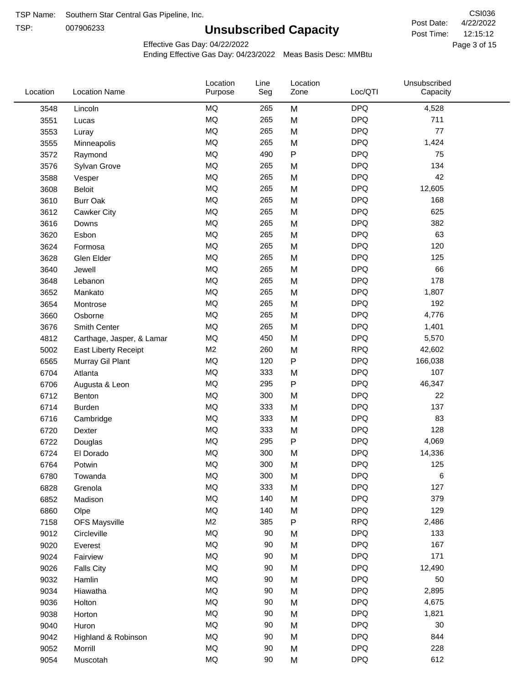TSP:

# **Unsubscribed Capacity**

4/22/2022 Page 3 of 15 12:15:12 CSI036 Post Date: Post Time:

Effective Gas Day: 04/22/2022

| Location | <b>Location Name</b>      | Location<br>Purpose | Line<br>Seg | Location<br>Zone | Loc/QTI    | Unsubscribed<br>Capacity |  |
|----------|---------------------------|---------------------|-------------|------------------|------------|--------------------------|--|
| 3548     | Lincoln                   | MQ                  | 265         | M                | <b>DPQ</b> | 4,528                    |  |
| 3551     | Lucas                     | $\sf{MQ}$           | 265         | M                | <b>DPQ</b> | 711                      |  |
| 3553     | Luray                     | MQ                  | 265         | M                | <b>DPQ</b> | 77                       |  |
| 3555     | Minneapolis               | MQ                  | 265         | M                | <b>DPQ</b> | 1,424                    |  |
| 3572     | Raymond                   | <b>MQ</b>           | 490         | $\sf P$          | <b>DPQ</b> | 75                       |  |
| 3576     | Sylvan Grove              | MQ                  | 265         | M                | <b>DPQ</b> | 134                      |  |
| 3588     | Vesper                    | MQ                  | 265         | M                | <b>DPQ</b> | 42                       |  |
| 3608     | <b>Beloit</b>             | MQ                  | 265         | M                | <b>DPQ</b> | 12,605                   |  |
| 3610     | <b>Burr Oak</b>           | MQ                  | 265         | M                | <b>DPQ</b> | 168                      |  |
| 3612     | Cawker City               | MQ                  | 265         | M                | <b>DPQ</b> | 625                      |  |
| 3616     | Downs                     | MQ                  | 265         | M                | <b>DPQ</b> | 382                      |  |
| 3620     | Esbon                     | MQ                  | 265         | M                | <b>DPQ</b> | 63                       |  |
| 3624     | Formosa                   | MQ                  | 265         | M                | <b>DPQ</b> | 120                      |  |
| 3628     | Glen Elder                | <b>MQ</b>           | 265         | M                | <b>DPQ</b> | 125                      |  |
| 3640     | Jewell                    | MQ                  | 265         | M                | <b>DPQ</b> | 66                       |  |
| 3648     | Lebanon                   | MQ                  | 265         | M                | <b>DPQ</b> | 178                      |  |
| 3652     | Mankato                   | MQ                  | 265         | M                | <b>DPQ</b> | 1,807                    |  |
| 3654     | Montrose                  | MQ                  | 265         | M                | <b>DPQ</b> | 192                      |  |
| 3660     | Osborne                   | MQ                  | 265         | M                | <b>DPQ</b> | 4,776                    |  |
| 3676     | Smith Center              | MQ                  | 265         | M                | <b>DPQ</b> | 1,401                    |  |
| 4812     | Carthage, Jasper, & Lamar | MQ                  | 450         | M                | <b>DPQ</b> | 5,570                    |  |
| 5002     | East Liberty Receipt      | M <sub>2</sub>      | 260         | M                | <b>RPQ</b> | 42,602                   |  |
| 6565     | Murray Gil Plant          | MQ                  | 120         | $\mathsf{P}$     | <b>DPQ</b> | 166,038                  |  |
| 6704     | Atlanta                   | MQ                  | 333         | M                | <b>DPQ</b> | 107                      |  |
| 6706     | Augusta & Leon            | MQ                  | 295         | ${\sf P}$        | <b>DPQ</b> | 46,347                   |  |
| 6712     | Benton                    | MQ                  | 300         | M                | <b>DPQ</b> | 22                       |  |
| 6714     | <b>Burden</b>             | MQ                  | 333         | M                | <b>DPQ</b> | 137                      |  |
| 6716     | Cambridge                 | MQ                  | 333         | M                | <b>DPQ</b> | 83                       |  |
| 6720     | Dexter                    | MQ                  | 333         | M                | <b>DPQ</b> | 128                      |  |
| 6722     | Douglas                   | $\sf{MQ}$           | 295         | P                | <b>DPQ</b> | 4,069                    |  |
| 6724     | El Dorado                 | <b>MQ</b>           | 300         | M                | <b>DPQ</b> | 14,336                   |  |
| 6764     | Potwin                    | $\sf{MQ}$           | 300         | M                | <b>DPQ</b> | 125                      |  |
| 6780     | Towanda                   | MQ                  | 300         | M                | <b>DPQ</b> | 6                        |  |
| 6828     | Grenola                   | MQ                  | 333         | M                | <b>DPQ</b> | 127                      |  |
| 6852     | Madison                   | MQ                  | 140         | M                | <b>DPQ</b> | 379                      |  |
| 6860     | Olpe                      | MQ                  | 140         | M                | <b>DPQ</b> | 129                      |  |
| 7158     | <b>OFS Maysville</b>      | M <sub>2</sub>      | 385         | ${\sf P}$        | <b>RPQ</b> | 2,486                    |  |
| 9012     | Circleville               | MQ                  | 90          | M                | <b>DPQ</b> | 133                      |  |
| 9020     | Everest                   | $\sf{MQ}$           | 90          | M                | <b>DPQ</b> | 167                      |  |
| 9024     | Fairview                  | MQ                  | 90          | M                | <b>DPQ</b> | 171                      |  |
| 9026     | <b>Falls City</b>         | MQ                  | 90          | M                | <b>DPQ</b> | 12,490                   |  |
| 9032     | Hamlin                    | MQ                  | 90          | M                | <b>DPQ</b> | 50                       |  |
| 9034     | Hiawatha                  | MQ                  | 90          | M                | <b>DPQ</b> | 2,895                    |  |
| 9036     | Holton                    | MQ                  | 90          | M                | <b>DPQ</b> | 4,675                    |  |
| 9038     | Horton                    | MQ                  | 90          | M                | <b>DPQ</b> | 1,821                    |  |
| 9040     | Huron                     | MQ                  | 90          | M                | <b>DPQ</b> | 30                       |  |
| 9042     | Highland & Robinson       | MQ                  | 90          | M                | <b>DPQ</b> | 844                      |  |
| 9052     | Morrill                   | $\sf{MQ}$           | 90          | M                | <b>DPQ</b> | 228                      |  |
| 9054     | Muscotah                  | $\sf{MQ}$           | 90          | M                | <b>DPQ</b> | 612                      |  |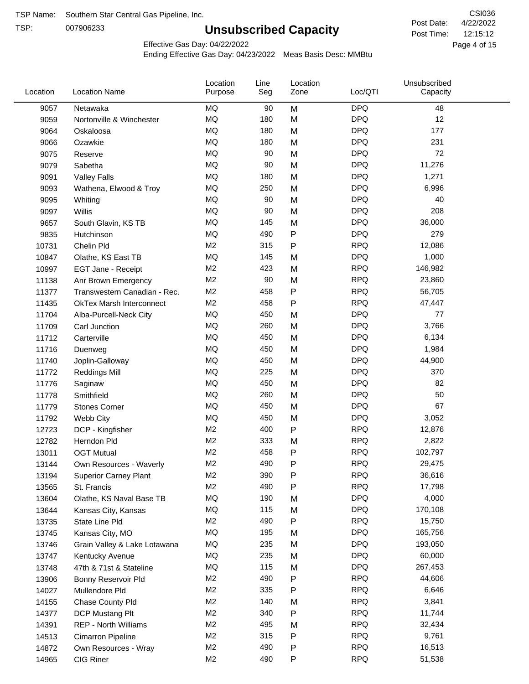TSP:

# **Unsubscribed Capacity**

4/22/2022 Page 4 of 15 12:15:12 CSI036 Post Date: Post Time:

Effective Gas Day: 04/22/2022

| Location | <b>Location Name</b>            | Location<br>Purpose | Line<br>Seg | Location<br>Zone | Loc/QTI    | Unsubscribed<br>Capacity |  |
|----------|---------------------------------|---------------------|-------------|------------------|------------|--------------------------|--|
| 9057     | Netawaka                        | <b>MQ</b>           | 90          | M                | <b>DPQ</b> | 48                       |  |
| 9059     | Nortonville & Winchester        | <b>MQ</b>           | 180         | M                | <b>DPQ</b> | 12                       |  |
| 9064     | Oskaloosa                       | MQ                  | 180         | M                | <b>DPQ</b> | 177                      |  |
| 9066     | Ozawkie                         | <b>MQ</b>           | 180         | M                | <b>DPQ</b> | 231                      |  |
| 9075     | Reserve                         | <b>MQ</b>           | 90          | M                | <b>DPQ</b> | 72                       |  |
| 9079     | Sabetha                         | <b>MQ</b>           | 90          | M                | <b>DPQ</b> | 11,276                   |  |
| 9091     | <b>Valley Falls</b>             | <b>MQ</b>           | 180         | M                | <b>DPQ</b> | 1,271                    |  |
| 9093     | Wathena, Elwood & Troy          | <b>MQ</b>           | 250         | M                | <b>DPQ</b> | 6,996                    |  |
| 9095     | Whiting                         | MQ                  | 90          | M                | <b>DPQ</b> | 40                       |  |
| 9097     | Willis                          | <b>MQ</b>           | 90          | M                | <b>DPQ</b> | 208                      |  |
| 9657     | South Glavin, KS TB             | <b>MQ</b>           | 145         | M                | <b>DPQ</b> | 36,000                   |  |
| 9835     | Hutchinson                      | MQ                  | 490         | P                | <b>DPQ</b> | 279                      |  |
| 10731    | Chelin Pld                      | M <sub>2</sub>      | 315         | P                | <b>RPQ</b> | 12,086                   |  |
| 10847    | Olathe, KS East TB              | <b>MQ</b>           | 145         | M                | <b>DPQ</b> | 1,000                    |  |
| 10997    | EGT Jane - Receipt              | M <sub>2</sub>      | 423         | M                | <b>RPQ</b> | 146,982                  |  |
| 11138    | Anr Brown Emergency             | M <sub>2</sub>      | 90          | M                | <b>RPQ</b> | 23,860                   |  |
| 11377    | Transwestern Canadian - Rec.    | M <sub>2</sub>      | 458         | P                | <b>RPQ</b> | 56,705                   |  |
| 11435    | <b>OkTex Marsh Interconnect</b> | M <sub>2</sub>      | 458         | Ρ                | <b>RPQ</b> | 47,447                   |  |
| 11704    | Alba-Purcell-Neck City          | <b>MQ</b>           | 450         | M                | <b>DPQ</b> | 77                       |  |
| 11709    | Carl Junction                   | <b>MQ</b>           | 260         | M                | <b>DPQ</b> | 3,766                    |  |
| 11712    | Carterville                     | <b>MQ</b>           | 450         | M                | <b>DPQ</b> | 6,134                    |  |
| 11716    | Duenweg                         | <b>MQ</b>           | 450         | M                | <b>DPQ</b> | 1,984                    |  |
| 11740    | Joplin-Galloway                 | <b>MQ</b>           | 450         | M                | <b>DPQ</b> | 44,900                   |  |
| 11772    | <b>Reddings Mill</b>            | <b>MQ</b>           | 225         | M                | <b>DPQ</b> | 370                      |  |
| 11776    | Saginaw                         | <b>MQ</b>           | 450         | M                | <b>DPQ</b> | 82                       |  |
| 11778    | Smithfield                      | <b>MQ</b>           | 260         | M                | <b>DPQ</b> | 50                       |  |
| 11779    | <b>Stones Corner</b>            | <b>MQ</b>           | 450         | M                | <b>DPQ</b> | 67                       |  |
| 11792    | Webb City                       | <b>MQ</b>           | 450         | M                | <b>DPQ</b> | 3,052                    |  |
| 12723    | DCP - Kingfisher                | M <sub>2</sub>      | 400         | P                | <b>RPQ</b> | 12,876                   |  |
| 12782    | Herndon Pld                     | M <sub>2</sub>      | 333         | M                | <b>RPQ</b> | 2,822                    |  |
| 13011    | <b>OGT Mutual</b>               | M <sub>2</sub>      | 458         | Ρ                | <b>RPQ</b> | 102,797                  |  |
| 13144    | Own Resources - Waverly         | M <sub>2</sub>      | 490         | P                | <b>RPQ</b> | 29,475                   |  |
| 13194    | <b>Superior Carney Plant</b>    | M <sub>2</sub>      | 390         | P                | <b>RPQ</b> | 36,616                   |  |
| 13565    | St. Francis                     | M <sub>2</sub>      | 490         | Ρ                | <b>RPQ</b> | 17,798                   |  |
| 13604    | Olathe, KS Naval Base TB        | MQ                  | 190         | M                | <b>DPQ</b> | 4,000                    |  |
| 13644    | Kansas City, Kansas             | MQ                  | 115         | M                | <b>DPQ</b> | 170,108                  |  |
| 13735    | State Line Pld                  | M <sub>2</sub>      | 490         | P                | <b>RPQ</b> | 15,750                   |  |
| 13745    | Kansas City, MO                 | MQ                  | 195         | M                | <b>DPQ</b> | 165,756                  |  |
| 13746    | Grain Valley & Lake Lotawana    | MQ                  | 235         | M                | <b>DPQ</b> | 193,050                  |  |
| 13747    | Kentucky Avenue                 | MQ                  | 235         | M                | <b>DPQ</b> | 60,000                   |  |
| 13748    | 47th & 71st & Stateline         | MQ                  | 115         | M                | <b>DPQ</b> | 267,453                  |  |
| 13906    | Bonny Reservoir Pld             | M <sub>2</sub>      | 490         | Ρ                | <b>RPQ</b> | 44,606                   |  |
| 14027    | Mullendore Pld                  | M <sub>2</sub>      | 335         | P                | <b>RPQ</b> | 6,646                    |  |
| 14155    | Chase County Pld                | M <sub>2</sub>      | 140         | M                | <b>RPQ</b> | 3,841                    |  |
| 14377    | DCP Mustang Plt                 | M <sub>2</sub>      | 340         | Ρ                | <b>RPQ</b> | 11,744                   |  |
| 14391    | <b>REP - North Williams</b>     | M <sub>2</sub>      | 495         | M                | <b>RPQ</b> | 32,434                   |  |
| 14513    | Cimarron Pipeline               | M <sub>2</sub>      | 315         | P                | <b>RPQ</b> | 9,761                    |  |
| 14872    | Own Resources - Wray            | M <sub>2</sub>      | 490         | P                | <b>RPQ</b> | 16,513                   |  |
| 14965    | CIG Riner                       | M <sub>2</sub>      | 490         | P                | <b>RPQ</b> | 51,538                   |  |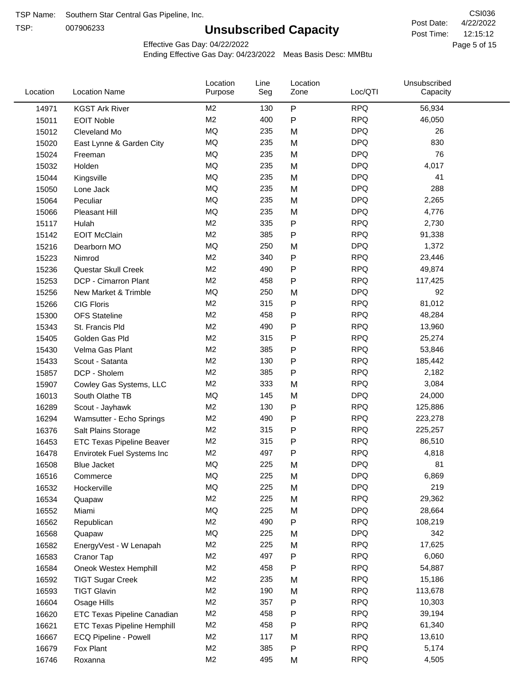TSP:

# **Unsubscribed Capacity**

4/22/2022 Page 5 of 15 12:15:12 CSI036 Post Date: Post Time:

Effective Gas Day: 04/22/2022

| Location | <b>Location Name</b>               | Location<br>Purpose | Line<br>Seg | Location<br>Zone | Loc/QTI    | Unsubscribed<br>Capacity |  |
|----------|------------------------------------|---------------------|-------------|------------------|------------|--------------------------|--|
| 14971    | <b>KGST Ark River</b>              | M2                  | 130         | $\mathsf{P}$     | <b>RPQ</b> | 56,934                   |  |
| 15011    | <b>EOIT Noble</b>                  | M2                  | 400         | $\mathsf{P}$     | <b>RPQ</b> | 46,050                   |  |
| 15012    | Cleveland Mo                       | MQ                  | 235         | M                | <b>DPQ</b> | 26                       |  |
| 15020    | East Lynne & Garden City           | <b>MQ</b>           | 235         | M                | <b>DPQ</b> | 830                      |  |
| 15024    | Freeman                            | <b>MQ</b>           | 235         | M                | <b>DPQ</b> | 76                       |  |
| 15032    | Holden                             | <b>MQ</b>           | 235         | M                | <b>DPQ</b> | 4,017                    |  |
| 15044    | Kingsville                         | MQ                  | 235         | M                | <b>DPQ</b> | 41                       |  |
| 15050    | Lone Jack                          | <b>MQ</b>           | 235         | M                | <b>DPQ</b> | 288                      |  |
| 15064    | Peculiar                           | <b>MQ</b>           | 235         | M                | <b>DPQ</b> | 2,265                    |  |
| 15066    | <b>Pleasant Hill</b>               | MQ                  | 235         | M                | <b>DPQ</b> | 4,776                    |  |
| 15117    | Hulah                              | M <sub>2</sub>      | 335         | $\mathsf{P}$     | <b>RPQ</b> | 2,730                    |  |
| 15142    | <b>EOIT McClain</b>                | M <sub>2</sub>      | 385         | $\mathsf{P}$     | <b>RPQ</b> | 91,338                   |  |
| 15216    | Dearborn MO                        | MQ                  | 250         | M                | <b>DPQ</b> | 1,372                    |  |
| 15223    | Nimrod                             | M <sub>2</sub>      | 340         | ${\sf P}$        | <b>RPQ</b> | 23,446                   |  |
| 15236    | Questar Skull Creek                | M <sub>2</sub>      | 490         | $\mathsf{P}$     | <b>RPQ</b> | 49,874                   |  |
| 15253    | DCP - Cimarron Plant               | M <sub>2</sub>      | 458         | $\mathsf{P}$     | <b>RPQ</b> | 117,425                  |  |
| 15256    | New Market & Trimble               | <b>MQ</b>           | 250         | M                | <b>DPQ</b> | 92                       |  |
| 15266    | <b>CIG Floris</b>                  | M <sub>2</sub>      | 315         | $\mathsf{P}$     | <b>RPQ</b> | 81,012                   |  |
| 15300    | <b>OFS</b> Stateline               | M <sub>2</sub>      | 458         | ${\sf P}$        | <b>RPQ</b> | 48,284                   |  |
| 15343    | St. Francis Pld                    | M <sub>2</sub>      | 490         | $\mathsf{P}$     | <b>RPQ</b> | 13,960                   |  |
| 15405    | Golden Gas Pld                     | M <sub>2</sub>      | 315         | $\mathsf{P}$     | <b>RPQ</b> | 25,274                   |  |
| 15430    | Velma Gas Plant                    | M <sub>2</sub>      | 385         | $\mathsf{P}$     | <b>RPQ</b> | 53,846                   |  |
| 15433    | Scout - Satanta                    | M <sub>2</sub>      | 130         | ${\sf P}$        | <b>RPQ</b> | 185,442                  |  |
| 15857    | DCP - Sholem                       | M <sub>2</sub>      | 385         | $\mathsf{P}$     | <b>RPQ</b> | 2,182                    |  |
| 15907    | Cowley Gas Systems, LLC            | M <sub>2</sub>      | 333         | M                | <b>RPQ</b> | 3,084                    |  |
| 16013    | South Olathe TB                    | MQ                  | 145         | M                | <b>DPQ</b> | 24,000                   |  |
| 16289    | Scout - Jayhawk                    | M2                  | 130         | ${\sf P}$        | <b>RPQ</b> | 125,886                  |  |
| 16294    | Wamsutter - Echo Springs           | M <sub>2</sub>      | 490         | ${\sf P}$        | <b>RPQ</b> | 223,278                  |  |
| 16376    | Salt Plains Storage                | M <sub>2</sub>      | 315         | $\mathsf{P}$     | <b>RPQ</b> | 225,257                  |  |
| 16453    | <b>ETC Texas Pipeline Beaver</b>   | M <sub>2</sub>      | 315         | ${\sf P}$        | <b>RPQ</b> | 86,510                   |  |
| 16478    | Envirotek Fuel Systems Inc         | M <sub>2</sub>      | 497         | $\mathsf{P}$     | <b>RPQ</b> | 4,818                    |  |
| 16508    | Blue Jacket                        | MQ                  | 225         | M                | <b>DPQ</b> | 81                       |  |
| 16516    | Commerce                           | MQ                  | 225         | M                | <b>DPQ</b> | 6,869                    |  |
| 16532    | Hockerville                        | MQ                  | 225         | M                | <b>DPQ</b> | 219                      |  |
| 16534    | Quapaw                             | M <sub>2</sub>      | 225         | M                | <b>RPQ</b> | 29,362                   |  |
| 16552    | Miami                              | MQ                  | 225         | M                | <b>DPQ</b> | 28,664                   |  |
| 16562    | Republican                         | M2                  | 490         | ${\sf P}$        | <b>RPQ</b> | 108,219                  |  |
| 16568    | Quapaw                             | MQ                  | 225         | M                | <b>DPQ</b> | 342                      |  |
| 16582    | EnergyVest - W Lenapah             | M <sub>2</sub>      | 225         | M                | <b>RPQ</b> | 17,625                   |  |
| 16583    | Cranor Tap                         | M <sub>2</sub>      | 497         | P                | <b>RPQ</b> | 6,060                    |  |
| 16584    | Oneok Westex Hemphill              | M <sub>2</sub>      | 458         | P                | <b>RPQ</b> | 54,887                   |  |
| 16592    | <b>TIGT Sugar Creek</b>            | M <sub>2</sub>      | 235         | M                | <b>RPQ</b> | 15,186                   |  |
| 16593    | <b>TIGT Glavin</b>                 | M <sub>2</sub>      | 190         | M                | <b>RPQ</b> | 113,678                  |  |
| 16604    | Osage Hills                        | M <sub>2</sub>      | 357         | $\mathsf{P}$     | <b>RPQ</b> | 10,303                   |  |
| 16620    | ETC Texas Pipeline Canadian        | M <sub>2</sub>      | 458         | $\mathsf{P}$     | <b>RPQ</b> | 39,194                   |  |
| 16621    | <b>ETC Texas Pipeline Hemphill</b> | M <sub>2</sub>      | 458         | P                | <b>RPQ</b> | 61,340                   |  |
| 16667    | ECQ Pipeline - Powell              | M <sub>2</sub>      | 117         | M                | <b>RPQ</b> | 13,610                   |  |
| 16679    | Fox Plant                          | M <sub>2</sub>      | 385         | P                | <b>RPQ</b> | 5,174                    |  |
| 16746    | Roxanna                            | M <sub>2</sub>      | 495         | M                | <b>RPQ</b> | 4,505                    |  |
|          |                                    |                     |             |                  |            |                          |  |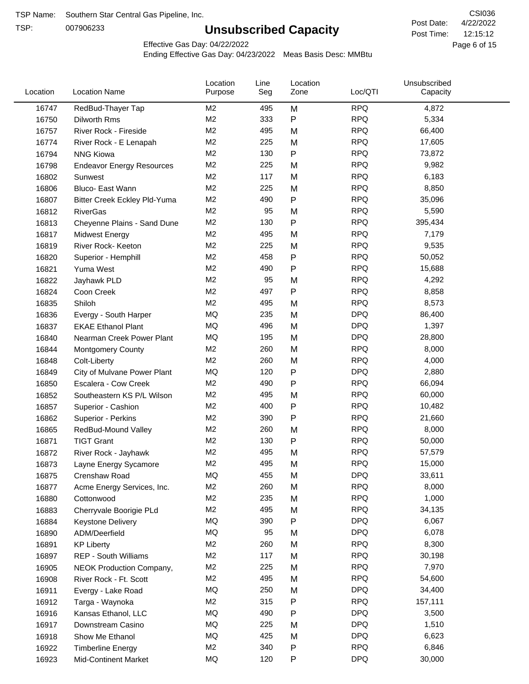TSP:

# **Unsubscribed Capacity**

4/22/2022 Page 6 of 15 12:15:12 CSI036 Post Date: Post Time:

Effective Gas Day: 04/22/2022

| Location | <b>Location Name</b>                | Location<br>Purpose | Line<br>Seg | Location<br>Zone | Loc/QTI    | Unsubscribed<br>Capacity |  |
|----------|-------------------------------------|---------------------|-------------|------------------|------------|--------------------------|--|
| 16747    | RedBud-Thayer Tap                   | M <sub>2</sub>      | 495         | M                | <b>RPQ</b> | 4,872                    |  |
| 16750    | Dilworth Rms                        | M2                  | 333         | P                | <b>RPQ</b> | 5,334                    |  |
| 16757    | River Rock - Fireside               | M <sub>2</sub>      | 495         | M                | <b>RPQ</b> | 66,400                   |  |
| 16774    | River Rock - E Lenapah              | M <sub>2</sub>      | 225         | M                | <b>RPQ</b> | 17,605                   |  |
| 16794    | <b>NNG Kiowa</b>                    | M <sub>2</sub>      | 130         | P                | <b>RPQ</b> | 73,872                   |  |
| 16798    | <b>Endeavor Energy Resources</b>    | M <sub>2</sub>      | 225         | M                | <b>RPQ</b> | 9,982                    |  |
| 16802    | Sunwest                             | M <sub>2</sub>      | 117         | M                | <b>RPQ</b> | 6,183                    |  |
| 16806    | Bluco- East Wann                    | M2                  | 225         | M                | <b>RPQ</b> | 8,850                    |  |
| 16807    | <b>Bitter Creek Eckley Pld-Yuma</b> | M2                  | 490         | P                | <b>RPQ</b> | 35,096                   |  |
| 16812    | <b>RiverGas</b>                     | M <sub>2</sub>      | 95          | M                | <b>RPQ</b> | 5,590                    |  |
| 16813    | Cheyenne Plains - Sand Dune         | M <sub>2</sub>      | 130         | P                | <b>RPQ</b> | 395,434                  |  |
| 16817    | <b>Midwest Energy</b>               | M <sub>2</sub>      | 495         | M                | <b>RPQ</b> | 7,179                    |  |
| 16819    | River Rock- Keeton                  | M <sub>2</sub>      | 225         | M                | <b>RPQ</b> | 9,535                    |  |
| 16820    | Superior - Hemphill                 | M <sub>2</sub>      | 458         | Ρ                | <b>RPQ</b> | 50,052                   |  |
| 16821    | Yuma West                           | M <sub>2</sub>      | 490         | P                | <b>RPQ</b> | 15,688                   |  |
| 16822    | Jayhawk PLD                         | M <sub>2</sub>      | 95          | M                | <b>RPQ</b> | 4,292                    |  |
| 16824    | Coon Creek                          | M <sub>2</sub>      | 497         | P                | <b>RPQ</b> | 8,858                    |  |
| 16835    | Shiloh                              | M2                  | 495         | M                | <b>RPQ</b> | 8,573                    |  |
| 16836    | Evergy - South Harper               | MQ                  | 235         | M                | <b>DPQ</b> | 86,400                   |  |
| 16837    | <b>EKAE Ethanol Plant</b>           | MQ                  | 496         | M                | <b>DPQ</b> | 1,397                    |  |
| 16840    | Nearman Creek Power Plant           | MQ                  | 195         | M                | <b>DPQ</b> | 28,800                   |  |
| 16844    | <b>Montgomery County</b>            | M <sub>2</sub>      | 260         | M                | <b>RPQ</b> | 8,000                    |  |
| 16848    | Colt-Liberty                        | M2                  | 260         | M                | <b>RPQ</b> | 4,000                    |  |
| 16849    | City of Mulvane Power Plant         | <b>MQ</b>           | 120         | P                | <b>DPQ</b> | 2,880                    |  |
| 16850    | Escalera - Cow Creek                | M <sub>2</sub>      | 490         | P                | <b>RPQ</b> | 66,094                   |  |
| 16852    | Southeastern KS P/L Wilson          | M <sub>2</sub>      | 495         | M                | <b>RPQ</b> | 60,000                   |  |
| 16857    | Superior - Cashion                  | M <sub>2</sub>      | 400         | P                | <b>RPQ</b> | 10,482                   |  |
| 16862    | Superior - Perkins                  | M2                  | 390         | P                | <b>RPQ</b> | 21,660                   |  |
| 16865    | RedBud-Mound Valley                 | M <sub>2</sub>      | 260         | M                | <b>RPQ</b> | 8,000                    |  |
| 16871    | <b>TIGT Grant</b>                   | M <sub>2</sub>      | 130         | P                | <b>RPQ</b> | 50,000                   |  |
| 16872    | River Rock - Jayhawk                | M <sub>2</sub>      | 495         | M                | <b>RPQ</b> | 57,579                   |  |
| 16873    | Layne Energy Sycamore               | M <sub>2</sub>      | 495         | M                | <b>RPQ</b> | 15,000                   |  |
| 16875    | Crenshaw Road                       | MQ                  | 455         | M                | <b>DPQ</b> | 33,611                   |  |
| 16877    | Acme Energy Services, Inc.          | M <sub>2</sub>      | 260         | M                | <b>RPQ</b> | 8,000                    |  |
| 16880    | Cottonwood                          | M <sub>2</sub>      | 235         | M                | <b>RPQ</b> | 1,000                    |  |
| 16883    | Cherryvale Boorigie PLd             | M <sub>2</sub>      | 495         | M                | <b>RPQ</b> | 34,135                   |  |
| 16884    | <b>Keystone Delivery</b>            | MQ                  | 390         | P                | <b>DPQ</b> | 6,067                    |  |
| 16890    | ADM/Deerfield                       | MQ                  | 95          | M                | <b>DPQ</b> | 6,078                    |  |
| 16891    | <b>KP Liberty</b>                   | M <sub>2</sub>      | 260         | M                | <b>RPQ</b> | 8,300                    |  |
| 16897    | <b>REP - South Williams</b>         | M <sub>2</sub>      | 117         | M                | <b>RPQ</b> | 30,198                   |  |
| 16905    | NEOK Production Company,            | M2                  | 225         | M                | <b>RPQ</b> | 7,970                    |  |
| 16908    | River Rock - Ft. Scott              | M <sub>2</sub>      | 495         | M                | <b>RPQ</b> | 54,600                   |  |
| 16911    | Evergy - Lake Road                  | MQ                  | 250         | M                | <b>DPQ</b> | 34,400                   |  |
| 16912    | Targa - Waynoka                     | M <sub>2</sub>      | 315         | P                | <b>RPQ</b> | 157,111                  |  |
| 16916    | Kansas Ethanol, LLC                 | MQ                  | 490         | Ρ                | <b>DPQ</b> | 3,500                    |  |
| 16917    | Downstream Casino                   | MQ                  | 225         | M                | <b>DPQ</b> | 1,510                    |  |
| 16918    | Show Me Ethanol                     | MQ                  | 425         | M                | <b>DPQ</b> | 6,623                    |  |
| 16922    | <b>Timberline Energy</b>            | M <sub>2</sub>      | 340         | P                | <b>RPQ</b> | 6,846                    |  |
| 16923    | <b>Mid-Continent Market</b>         | MQ                  | 120         | P                | <b>DPQ</b> | 30,000                   |  |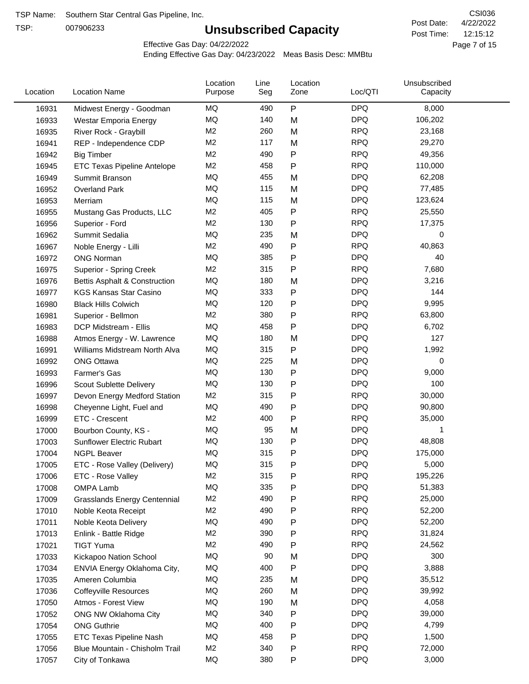TSP:

# **Unsubscribed Capacity**

4/22/2022 Page 7 of 15 12:15:12 CSI036 Post Date: Post Time:

Effective Gas Day: 04/22/2022

| Location | <b>Location Name</b>                | Location<br>Purpose | Line<br>Seg | Location<br>Zone | Loc/QTI    | Unsubscribed<br>Capacity |  |
|----------|-------------------------------------|---------------------|-------------|------------------|------------|--------------------------|--|
| 16931    | Midwest Energy - Goodman            | MQ                  | 490         | ${\sf P}$        | <b>DPQ</b> | 8,000                    |  |
| 16933    | Westar Emporia Energy               | MQ                  | 140         | M                | <b>DPQ</b> | 106,202                  |  |
| 16935    | River Rock - Graybill               | M <sub>2</sub>      | 260         | M                | <b>RPQ</b> | 23,168                   |  |
| 16941    | REP - Independence CDP              | M <sub>2</sub>      | 117         | M                | <b>RPQ</b> | 29,270                   |  |
| 16942    | <b>Big Timber</b>                   | M2                  | 490         | Ρ                | <b>RPQ</b> | 49,356                   |  |
| 16945    | <b>ETC Texas Pipeline Antelope</b>  | M <sub>2</sub>      | 458         | P                | <b>RPQ</b> | 110,000                  |  |
| 16949    | Summit Branson                      | MQ                  | 455         | M                | <b>DPQ</b> | 62,208                   |  |
| 16952    | <b>Overland Park</b>                | MQ                  | 115         | M                | <b>DPQ</b> | 77,485                   |  |
| 16953    | Merriam                             | MQ                  | 115         | M                | <b>DPQ</b> | 123,624                  |  |
| 16955    | Mustang Gas Products, LLC           | M <sub>2</sub>      | 405         | ${\sf P}$        | <b>RPQ</b> | 25,550                   |  |
| 16956    | Superior - Ford                     | M <sub>2</sub>      | 130         | P                | <b>RPQ</b> | 17,375                   |  |
| 16962    | Summit Sedalia                      | MQ                  | 235         | M                | <b>DPQ</b> | 0                        |  |
| 16967    | Noble Energy - Lilli                | M <sub>2</sub>      | 490         | Ρ                | <b>RPQ</b> | 40,863                   |  |
| 16972    | <b>ONG Norman</b>                   | MQ                  | 385         | Ρ                | <b>DPQ</b> | 40                       |  |
| 16975    | Superior - Spring Creek             | M <sub>2</sub>      | 315         | P                | <b>RPQ</b> | 7,680                    |  |
| 16976    | Bettis Asphalt & Construction       | MQ                  | 180         | M                | <b>DPQ</b> | 3,216                    |  |
| 16977    | <b>KGS Kansas Star Casino</b>       | MQ                  | 333         | P                | <b>DPQ</b> | 144                      |  |
| 16980    | <b>Black Hills Colwich</b>          | MQ                  | 120         | Ρ                | <b>DPQ</b> | 9,995                    |  |
| 16981    | Superior - Bellmon                  | M <sub>2</sub>      | 380         | P                | <b>RPQ</b> | 63,800                   |  |
| 16983    | DCP Midstream - Ellis               | MQ                  | 458         | P                | <b>DPQ</b> | 6,702                    |  |
| 16988    | Atmos Energy - W. Lawrence          | MQ                  | 180         | M                | <b>DPQ</b> | 127                      |  |
| 16991    | Williams Midstream North Alva       | MQ                  | 315         | P                | <b>DPQ</b> | 1,992                    |  |
| 16992    | <b>ONG Ottawa</b>                   | MQ                  | 225         | M                | <b>DPQ</b> | 0                        |  |
| 16993    | Farmer's Gas                        | MQ                  | 130         | P                | <b>DPQ</b> | 9,000                    |  |
| 16996    | Scout Sublette Delivery             | MQ                  | 130         | P                | <b>DPQ</b> | 100                      |  |
| 16997    | Devon Energy Medford Station        | M <sub>2</sub>      | 315         | P                | <b>RPQ</b> | 30,000                   |  |
| 16998    | Cheyenne Light, Fuel and            | MQ                  | 490         | Ρ                | <b>DPQ</b> | 90,800                   |  |
| 16999    | ETC - Crescent                      | M <sub>2</sub>      | 400         | P                | <b>RPQ</b> | 35,000                   |  |
| 17000    | Bourbon County, KS -                | MQ                  | 95          | M                | <b>DPQ</b> | 1                        |  |
| 17003    | Sunflower Electric Rubart           | MQ                  | 130         | P                | <b>DPQ</b> | 48,808                   |  |
| 17004    | <b>NGPL Beaver</b>                  | MQ                  | 315         | Ρ                | <b>DPQ</b> | 175,000                  |  |
| 17005    | ETC - Rose Valley (Delivery)        | $\sf{MQ}$           | 315         | P                | <b>DPQ</b> | 5,000                    |  |
| 17006    | ETC - Rose Valley                   | M <sub>2</sub>      | 315         | Ρ                | <b>RPQ</b> | 195,226                  |  |
| 17008    | OMPA Lamb                           | MQ                  | 335         | P                | <b>DPQ</b> | 51,383                   |  |
| 17009    | <b>Grasslands Energy Centennial</b> | M <sub>2</sub>      | 490         | Ρ                | <b>RPQ</b> | 25,000                   |  |
| 17010    | Noble Keota Receipt                 | M <sub>2</sub>      | 490         | Ρ                | <b>RPQ</b> | 52,200                   |  |
| 17011    | Noble Keota Delivery                | MQ                  | 490         | Ρ                | <b>DPQ</b> | 52,200                   |  |
| 17013    | Enlink - Battle Ridge               | M <sub>2</sub>      | 390         | P                | <b>RPQ</b> | 31,824                   |  |
| 17021    | <b>TIGT Yuma</b>                    | M2                  | 490         | P                | <b>RPQ</b> | 24,562                   |  |
| 17033    | Kickapoo Nation School              | MQ                  | 90          | M                | <b>DPQ</b> | 300                      |  |
| 17034    | ENVIA Energy Oklahoma City,         | MQ                  | 400         | P                | <b>DPQ</b> | 3,888                    |  |
| 17035    | Ameren Columbia                     | MQ                  | 235         | M                | <b>DPQ</b> | 35,512                   |  |
| 17036    | <b>Coffeyville Resources</b>        | MQ                  | 260         | M                | <b>DPQ</b> | 39,992                   |  |
| 17050    | Atmos - Forest View                 | MQ                  | 190         | M                | <b>DPQ</b> | 4,058                    |  |
| 17052    | ONG NW Oklahoma City                | MQ                  | 340         | ${\sf P}$        | <b>DPQ</b> | 39,000                   |  |
| 17054    | <b>ONG Guthrie</b>                  | MQ                  | 400         | Ρ                | <b>DPQ</b> | 4,799                    |  |
| 17055    | ETC Texas Pipeline Nash             | MQ                  | 458         | P                | <b>DPQ</b> | 1,500                    |  |
| 17056    | Blue Mountain - Chisholm Trail      | M2                  | 340         | P                | <b>RPQ</b> | 72,000                   |  |
| 17057    | City of Tonkawa                     | MQ                  | 380         | P                | <b>DPQ</b> | 3,000                    |  |
|          |                                     |                     |             |                  |            |                          |  |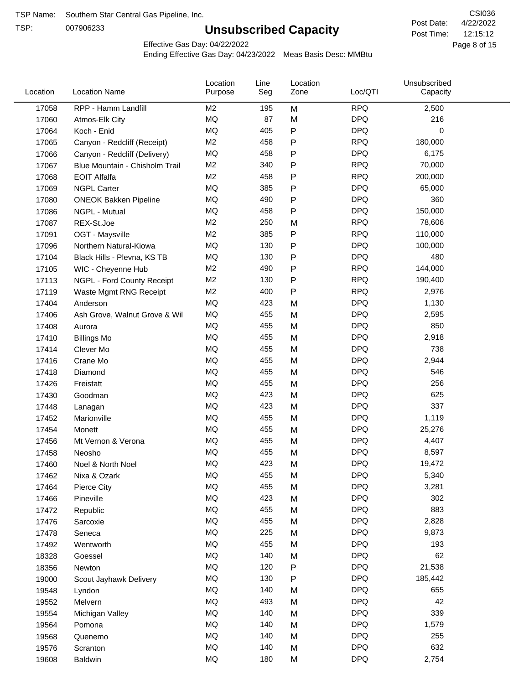TSP:

# **Unsubscribed Capacity**

4/22/2022 Page 8 of 15 12:15:12 CSI036 Post Date: Post Time:

Effective Gas Day: 04/22/2022

| Location | <b>Location Name</b>           | Location<br>Purpose | Line<br>Seg | Location<br>Zone | Loc/QTI    | Unsubscribed<br>Capacity |  |
|----------|--------------------------------|---------------------|-------------|------------------|------------|--------------------------|--|
| 17058    | RPP - Hamm Landfill            | M2                  | 195         | M                | <b>RPQ</b> | 2,500                    |  |
| 17060    | Atmos-Elk City                 | MQ                  | 87          | M                | <b>DPQ</b> | 216                      |  |
| 17064    | Koch - Enid                    | MQ                  | 405         | P                | <b>DPQ</b> | $\mathbf 0$              |  |
| 17065    | Canyon - Redcliff (Receipt)    | M <sub>2</sub>      | 458         | P                | <b>RPQ</b> | 180,000                  |  |
| 17066    | Canyon - Redcliff (Delivery)   | MQ                  | 458         | Ρ                | <b>DPQ</b> | 6,175                    |  |
| 17067    | Blue Mountain - Chisholm Trail | M <sub>2</sub>      | 340         | P                | <b>RPQ</b> | 70,000                   |  |
| 17068    | <b>EOIT Alfalfa</b>            | M <sub>2</sub>      | 458         | P                | <b>RPQ</b> | 200,000                  |  |
| 17069    | <b>NGPL Carter</b>             | MQ                  | 385         | P                | <b>DPQ</b> | 65,000                   |  |
| 17080    | <b>ONEOK Bakken Pipeline</b>   | MQ                  | 490         | P                | <b>DPQ</b> | 360                      |  |
| 17086    | NGPL - Mutual                  | <b>MQ</b>           | 458         | P                | <b>DPQ</b> | 150,000                  |  |
| 17087    | REX-St.Joe                     | M <sub>2</sub>      | 250         | M                | <b>RPQ</b> | 78,606                   |  |
| 17091    | OGT - Maysville                | M <sub>2</sub>      | 385         | P                | <b>RPQ</b> | 110,000                  |  |
| 17096    | Northern Natural-Kiowa         | <b>MQ</b>           | 130         | P                | <b>DPQ</b> | 100,000                  |  |
| 17104    | Black Hills - Plevna, KS TB    | MQ                  | 130         | Ρ                | <b>DPQ</b> | 480                      |  |
| 17105    | WIC - Cheyenne Hub             | M <sub>2</sub>      | 490         | P                | <b>RPQ</b> | 144,000                  |  |
| 17113    | NGPL - Ford County Receipt     | M <sub>2</sub>      | 130         | P                | <b>RPQ</b> | 190,400                  |  |
| 17119    | Waste Mgmt RNG Receipt         | M <sub>2</sub>      | 400         | P                | <b>RPQ</b> | 2,976                    |  |
| 17404    | Anderson                       | MQ                  | 423         | M                | <b>DPQ</b> | 1,130                    |  |
| 17406    | Ash Grove, Walnut Grove & Wil  | MQ                  | 455         | M                | <b>DPQ</b> | 2,595                    |  |
| 17408    | Aurora                         | MQ                  | 455         | M                | <b>DPQ</b> | 850                      |  |
| 17410    | <b>Billings Mo</b>             | MQ                  | 455         | M                | <b>DPQ</b> | 2,918                    |  |
| 17414    | Clever Mo                      | <b>MQ</b>           | 455         | M                | <b>DPQ</b> | 738                      |  |
| 17416    | Crane Mo                       | <b>MQ</b>           | 455         | M                | <b>DPQ</b> | 2,944                    |  |
| 17418    | Diamond                        | <b>MQ</b>           | 455         | M                | <b>DPQ</b> | 546                      |  |
| 17426    | Freistatt                      | <b>MQ</b>           | 455         | M                | <b>DPQ</b> | 256                      |  |
| 17430    | Goodman                        | MQ                  | 423         | M                | <b>DPQ</b> | 625                      |  |
| 17448    | Lanagan                        | <b>MQ</b>           | 423         | M                | <b>DPQ</b> | 337                      |  |
| 17452    | Marionville                    | <b>MQ</b>           | 455         | M                | <b>DPQ</b> | 1,119                    |  |
| 17454    | Monett                         | <b>MQ</b>           | 455         | M                | <b>DPQ</b> | 25,276                   |  |
| 17456    | Mt Vernon & Verona             | MQ                  | 455         | M                | <b>DPQ</b> | 4,407                    |  |
| 17458    | Neosho                         | <b>MQ</b>           | 455         | M                | <b>DPQ</b> | 8,597                    |  |
| 17460    | Noel & North Noel              | MQ                  | 423         | M                | <b>DPQ</b> | 19,472                   |  |
| 17462    | Nixa & Ozark                   | MQ                  | 455         | M                | <b>DPQ</b> | 5,340                    |  |
| 17464    | Pierce City                    | $\sf{MQ}$           | 455         | M                | <b>DPQ</b> | 3,281                    |  |
| 17466    | Pineville                      | MQ                  | 423         | M                | <b>DPQ</b> | 302                      |  |
| 17472    | Republic                       | MQ                  | 455         | M                | <b>DPQ</b> | 883                      |  |
| 17476    | Sarcoxie                       | MQ                  | 455         | M                | <b>DPQ</b> | 2,828                    |  |
| 17478    | Seneca                         | MQ                  | 225         | M                | <b>DPQ</b> | 9,873                    |  |
| 17492    | Wentworth                      | $\sf{MQ}$           | 455         | M                | <b>DPQ</b> | 193                      |  |
| 18328    | Goessel                        | MQ                  | 140         | M                | <b>DPQ</b> | 62                       |  |
| 18356    | Newton                         | MQ                  | 120         | P                | <b>DPQ</b> | 21,538                   |  |
| 19000    | Scout Jayhawk Delivery         | MQ                  | 130         | P                | <b>DPQ</b> | 185,442                  |  |
| 19548    | Lyndon                         | $\sf{MQ}$           | 140         | M                | <b>DPQ</b> | 655                      |  |
| 19552    | Melvern                        | MQ                  | 493         | M                | <b>DPQ</b> | 42                       |  |
| 19554    | Michigan Valley                | MQ                  | 140         | M                | <b>DPQ</b> | 339                      |  |
| 19564    | Pomona                         | MQ                  | 140         | M                | <b>DPQ</b> | 1,579                    |  |
| 19568    | Quenemo                        | MQ                  | 140         | M                | <b>DPQ</b> | 255                      |  |
| 19576    | Scranton                       | $\sf{MQ}$           | 140         | M                | <b>DPQ</b> | 632                      |  |
| 19608    | Baldwin                        | MQ                  | 180         | M                | <b>DPQ</b> | 2,754                    |  |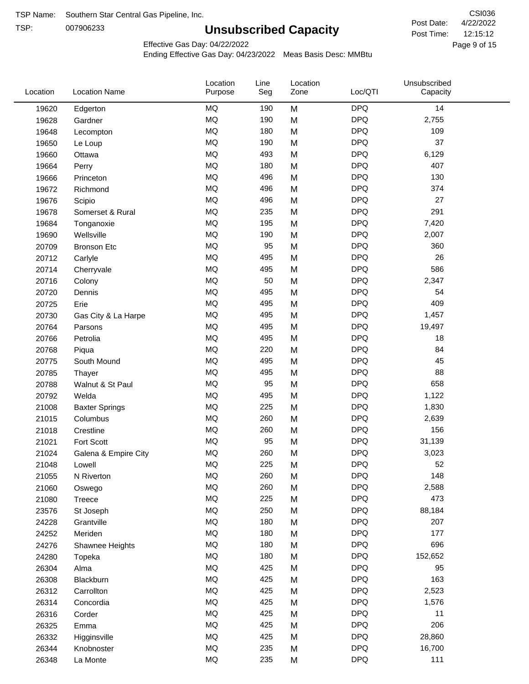TSP:

# **Unsubscribed Capacity**

4/22/2022 Page 9 of 15 12:15:12 CSI036 Post Date: Post Time:

Effective Gas Day: 04/22/2022

| Location | <b>Location Name</b>  | Location<br>Purpose | Line<br>Seg | Location<br>Zone | Loc/QTI    | Unsubscribed<br>Capacity |
|----------|-----------------------|---------------------|-------------|------------------|------------|--------------------------|
| 19620    | Edgerton              | <b>MQ</b>           | 190         | M                | <b>DPQ</b> | 14                       |
| 19628    | Gardner               | MQ                  | 190         | M                | <b>DPQ</b> | 2,755                    |
| 19648    | Lecompton             | <b>MQ</b>           | 180         | M                | <b>DPQ</b> | 109                      |
| 19650    | Le Loup               | <b>MQ</b>           | 190         | M                | <b>DPQ</b> | 37                       |
| 19660    | Ottawa                | <b>MQ</b>           | 493         | M                | <b>DPQ</b> | 6,129                    |
| 19664    | Perry                 | <b>MQ</b>           | 180         | M                | <b>DPQ</b> | 407                      |
| 19666    | Princeton             | MQ                  | 496         | M                | <b>DPQ</b> | 130                      |
| 19672    | Richmond              | <b>MQ</b>           | 496         | M                | <b>DPQ</b> | 374                      |
| 19676    | Scipio                | <b>MQ</b>           | 496         | M                | <b>DPQ</b> | 27                       |
| 19678    | Somerset & Rural      | MQ                  | 235         | M                | <b>DPQ</b> | 291                      |
| 19684    | Tonganoxie            | MQ                  | 195         | M                | <b>DPQ</b> | 7,420                    |
| 19690    | Wellsville            | MQ                  | 190         | M                | <b>DPQ</b> | 2,007                    |
| 20709    | <b>Bronson Etc</b>    | MQ                  | 95          | M                | <b>DPQ</b> | 360                      |
| 20712    | Carlyle               | <b>MQ</b>           | 495         | M                | <b>DPQ</b> | 26                       |
| 20714    | Cherryvale            | <b>MQ</b>           | 495         | M                | <b>DPQ</b> | 586                      |
| 20716    | Colony                | MQ                  | 50          | M                | <b>DPQ</b> | 2,347                    |
| 20720    | Dennis                | MQ                  | 495         | M                | <b>DPQ</b> | 54                       |
| 20725    | Erie                  | <b>MQ</b>           | 495         | M                | <b>DPQ</b> | 409                      |
| 20730    | Gas City & La Harpe   | <b>MQ</b>           | 495         | M                | <b>DPQ</b> | 1,457                    |
| 20764    | Parsons               | <b>MQ</b>           | 495         | M                | <b>DPQ</b> | 19,497                   |
| 20766    | Petrolia              | MQ                  | 495         | M                | <b>DPQ</b> | 18                       |
| 20768    | Piqua                 | MQ                  | 220         | M                | <b>DPQ</b> | 84                       |
| 20775    | South Mound           | <b>MQ</b>           | 495         | M                | <b>DPQ</b> | 45                       |
| 20785    | Thayer                | <b>MQ</b>           | 495         | M                | <b>DPQ</b> | 88                       |
| 20788    | Walnut & St Paul      | MQ                  | 95          | M                | <b>DPQ</b> | 658                      |
| 20792    | Welda                 | MQ                  | 495         | M                | <b>DPQ</b> | 1,122                    |
| 21008    | <b>Baxter Springs</b> | <b>MQ</b>           | 225         | M                | <b>DPQ</b> | 1,830                    |
| 21015    | Columbus              | MQ                  | 260         | M                | <b>DPQ</b> | 2,639                    |
| 21018    | Crestline             | MQ                  | 260         | M                | <b>DPQ</b> | 156                      |
| 21021    | Fort Scott            | MQ                  | 95          | M                | <b>DPQ</b> | 31,139                   |
| 21024    | Galena & Empire City  | MQ                  | 260         | M                | <b>DPQ</b> | 3,023                    |
| 21048    | Lowell                | $\sf{MQ}$           | 225         | M                | <b>DPQ</b> | 52                       |
| 21055    | N Riverton            | MQ                  | 260         | M                | <b>DPQ</b> | 148                      |
| 21060    | Oswego                | MQ                  | 260         | M                | <b>DPQ</b> | 2,588                    |
| 21080    | Treece                | MQ                  | 225         | M                | <b>DPQ</b> | 473                      |
| 23576    | St Joseph             | MQ                  | 250         | M                | <b>DPQ</b> | 88,184                   |
| 24228    | Grantville            | MQ                  | 180         | M                | <b>DPQ</b> | 207                      |
| 24252    | Meriden               | MQ                  | 180         | M                | <b>DPQ</b> | 177                      |
| 24276    | Shawnee Heights       | $\sf{MQ}$           | 180         | M                | <b>DPQ</b> | 696                      |
| 24280    | Topeka                | MQ                  | 180         | M                | <b>DPQ</b> | 152,652                  |
| 26304    | Alma                  | MQ                  | 425         | M                | <b>DPQ</b> | 95                       |
| 26308    | Blackburn             | MQ                  | 425         | M                | <b>DPQ</b> | 163                      |
| 26312    | Carrollton            | MQ                  | 425         | M                | <b>DPQ</b> | 2,523                    |
| 26314    | Concordia             | MQ                  | 425         | M                | <b>DPQ</b> | 1,576                    |
| 26316    | Corder                | MQ                  | 425         | M                | <b>DPQ</b> | 11                       |
| 26325    | Emma                  | MQ                  | 425         | M                | <b>DPQ</b> | 206                      |
| 26332    | Higginsville          | MQ                  | 425         | M                | <b>DPQ</b> | 28,860                   |
| 26344    | Knobnoster            | MQ                  | 235         | M                | <b>DPQ</b> | 16,700                   |
| 26348    | La Monte              | MQ                  | 235         | M                | <b>DPQ</b> | 111                      |
|          |                       |                     |             |                  |            |                          |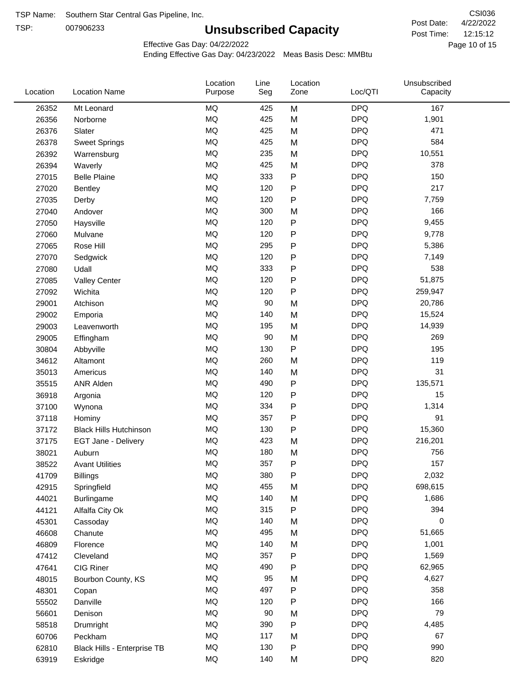TSP:

# **Unsubscribed Capacity**

4/22/2022 Page 10 of 15 12:15:12 CSI036 Post Date: Post Time:

Unsubscribed

Effective Gas Day: 04/22/2022

Location

Ending Effective Gas Day: 04/23/2022 Meas Basis Desc: MMBtu

Line

Location

| <b>MQ</b><br><b>DPQ</b><br>M<br>167<br>26352<br>Mt Leonard<br>425<br>MQ<br><b>DPQ</b><br>425<br>M<br>1,901<br>26356<br>Norborne<br>MQ<br><b>DPQ</b><br>471<br>425<br>M<br>26376<br>Slater<br><b>MQ</b><br><b>DPQ</b><br>584<br>425<br>26378<br>M<br><b>Sweet Springs</b><br><b>MQ</b><br><b>DPQ</b><br>235<br>M<br>10,551<br>26392<br>Warrensburg<br>MQ<br><b>DPQ</b><br>425<br>378<br>26394<br>M<br>Waverly<br>MQ<br>${\sf P}$<br><b>DPQ</b><br>150<br>27015<br><b>Belle Plaine</b><br>333<br>MQ<br><b>DPQ</b><br>217<br>120<br>${\sf P}$<br>27020<br><b>Bentley</b><br><b>MQ</b><br><b>DPQ</b><br>120<br>${\sf P}$<br>7,759<br>27035<br>Derby<br><b>MQ</b><br><b>DPQ</b><br>166<br>300<br>M<br>27040<br>Andover<br>MQ<br><b>DPQ</b><br>120<br>${\sf P}$<br>9,455<br>27050<br>Haysville<br>$\sf P$<br>MQ<br><b>DPQ</b><br>120<br>9,778<br>27060<br>Mulvane<br>MQ<br><b>DPQ</b><br>295<br>${\sf P}$<br>27065<br>5,386<br>Rose Hill<br>MQ<br>${\sf P}$<br><b>DPQ</b><br>120<br>7,149<br>27070<br>Sedgwick<br>MQ<br><b>DPQ</b><br>538<br>333<br>${\sf P}$<br>27080<br>Udall<br>MQ<br>${\sf P}$<br><b>DPQ</b><br>51,875<br>120<br>27085<br><b>Valley Center</b><br>MQ<br><b>DPQ</b><br>120<br>P<br>259,947<br>27092<br>Wichita<br><b>MQ</b><br><b>DPQ</b><br>90<br>M<br>20,786<br>29001<br>Atchison<br><b>MQ</b><br><b>DPQ</b><br>140<br>M<br>15,524<br>29002<br>Emporia<br>MQ<br><b>DPQ</b><br>195<br>M<br>14,939<br>29003<br>Leavenworth<br>MQ<br>90<br><b>DPQ</b><br>269<br>29005<br>M<br>Effingham<br>MQ<br>${\sf P}$<br><b>DPQ</b><br>195<br>130<br>30804<br>Abbyville<br>MQ<br><b>DPQ</b><br>119<br>260<br>M<br>34612<br>Altamont<br><b>MQ</b><br><b>DPQ</b><br>31<br>140<br>M<br>35013<br>Americus<br>MQ<br>${\sf P}$<br><b>DPQ</b><br>490<br>135,571<br>35515<br><b>ANR Alden</b><br>MQ<br><b>DPQ</b><br>120<br>${\sf P}$<br>15<br>36918<br>Argonia<br><b>MQ</b><br>${\sf P}$<br><b>DPQ</b><br>334<br>1,314<br>37100<br>Wynona<br>MQ<br><b>DPQ</b><br>91<br>357<br>${\sf P}$<br>37118<br>Hominy<br>MQ<br>${\sf P}$<br><b>DPQ</b><br>130<br>15,360<br>37172<br><b>Black Hills Hutchinson</b><br>MQ<br><b>DPQ</b><br>423<br>216,201<br>M<br>37175<br>EGT Jane - Delivery<br>MQ<br><b>DPQ</b><br>756<br>180<br>38021<br>Auburn<br>M<br>MQ<br>357<br><b>DPQ</b><br>157<br>${\sf P}$<br>38522<br><b>Avant Utilities</b><br>$\sf{MQ}$<br>380<br>${\sf P}$<br><b>DPQ</b><br>2,032<br>41709<br><b>Billings</b><br>MQ<br>455<br><b>DPQ</b><br>698,615<br>42915<br>M<br>Springfield<br>MQ<br>140<br><b>DPQ</b><br>M<br>1,686<br>44021<br>Burlingame<br>MQ<br>315<br>${\sf P}$<br><b>DPQ</b><br>394<br>44121<br>Alfalfa City Ok<br>MQ<br><b>DPQ</b><br>140<br>0<br>M<br>45301<br>Cassoday<br>MQ<br><b>DPQ</b><br>495<br>M<br>51,665<br>46608<br>Chanute<br>MQ<br><b>DPQ</b><br>140<br>1,001<br>M<br>46809<br>Florence<br>MQ<br><b>DPQ</b><br>357<br>${\sf P}$<br>1,569<br>47412<br>Cleveland<br>MQ<br><b>DPQ</b><br>490<br>62,965<br>47641<br>CIG Riner<br>P<br>MQ<br>95<br><b>DPQ</b><br>M<br>4,627<br>48015<br>Bourbon County, KS<br>MQ<br><b>DPQ</b><br>497<br>${\sf P}$<br>358<br>48301<br>Copan<br>MQ<br>${\sf P}$<br><b>DPQ</b><br>120<br>166<br>55502<br>Danville<br><b>DPQ</b><br>79<br>MQ<br>90<br>M<br>56601<br>Denison<br>MQ<br>${\sf P}$<br><b>DPQ</b><br>390<br>4,485<br>58518<br>Drumright<br>MQ<br><b>DPQ</b><br>117<br>67<br>M<br>60706<br>Peckham<br>$\sf{MQ}$<br><b>DPQ</b><br>990<br>130<br>P<br>62810<br>Black Hills - Enterprise TB<br><b>DPQ</b><br>820<br>MQ<br>140<br>63919<br>M<br>Eskridge | Location | <b>Location Name</b> | Purpose | Seg | Zone | Loc/QTI | Capacity |  |
|----------------------------------------------------------------------------------------------------------------------------------------------------------------------------------------------------------------------------------------------------------------------------------------------------------------------------------------------------------------------------------------------------------------------------------------------------------------------------------------------------------------------------------------------------------------------------------------------------------------------------------------------------------------------------------------------------------------------------------------------------------------------------------------------------------------------------------------------------------------------------------------------------------------------------------------------------------------------------------------------------------------------------------------------------------------------------------------------------------------------------------------------------------------------------------------------------------------------------------------------------------------------------------------------------------------------------------------------------------------------------------------------------------------------------------------------------------------------------------------------------------------------------------------------------------------------------------------------------------------------------------------------------------------------------------------------------------------------------------------------------------------------------------------------------------------------------------------------------------------------------------------------------------------------------------------------------------------------------------------------------------------------------------------------------------------------------------------------------------------------------------------------------------------------------------------------------------------------------------------------------------------------------------------------------------------------------------------------------------------------------------------------------------------------------------------------------------------------------------------------------------------------------------------------------------------------------------------------------------------------------------------------------------------------------------------------------------------------------------------------------------------------------------------------------------------------------------------------------------------------------------------------------------------------------------------------------------------------------------------------------------------------------------------------------------------------------------------------------------------------------------------------------------------------------------------------------------------------------------------------------------------------------------------------------------------------------------------------------------------------------------------------------------------------------------------------------------------------------------------------------------------|----------|----------------------|---------|-----|------|---------|----------|--|
|                                                                                                                                                                                                                                                                                                                                                                                                                                                                                                                                                                                                                                                                                                                                                                                                                                                                                                                                                                                                                                                                                                                                                                                                                                                                                                                                                                                                                                                                                                                                                                                                                                                                                                                                                                                                                                                                                                                                                                                                                                                                                                                                                                                                                                                                                                                                                                                                                                                                                                                                                                                                                                                                                                                                                                                                                                                                                                                                                                                                                                                                                                                                                                                                                                                                                                                                                                                                                                                                                                                |          |                      |         |     |      |         |          |  |
|                                                                                                                                                                                                                                                                                                                                                                                                                                                                                                                                                                                                                                                                                                                                                                                                                                                                                                                                                                                                                                                                                                                                                                                                                                                                                                                                                                                                                                                                                                                                                                                                                                                                                                                                                                                                                                                                                                                                                                                                                                                                                                                                                                                                                                                                                                                                                                                                                                                                                                                                                                                                                                                                                                                                                                                                                                                                                                                                                                                                                                                                                                                                                                                                                                                                                                                                                                                                                                                                                                                |          |                      |         |     |      |         |          |  |
|                                                                                                                                                                                                                                                                                                                                                                                                                                                                                                                                                                                                                                                                                                                                                                                                                                                                                                                                                                                                                                                                                                                                                                                                                                                                                                                                                                                                                                                                                                                                                                                                                                                                                                                                                                                                                                                                                                                                                                                                                                                                                                                                                                                                                                                                                                                                                                                                                                                                                                                                                                                                                                                                                                                                                                                                                                                                                                                                                                                                                                                                                                                                                                                                                                                                                                                                                                                                                                                                                                                |          |                      |         |     |      |         |          |  |
|                                                                                                                                                                                                                                                                                                                                                                                                                                                                                                                                                                                                                                                                                                                                                                                                                                                                                                                                                                                                                                                                                                                                                                                                                                                                                                                                                                                                                                                                                                                                                                                                                                                                                                                                                                                                                                                                                                                                                                                                                                                                                                                                                                                                                                                                                                                                                                                                                                                                                                                                                                                                                                                                                                                                                                                                                                                                                                                                                                                                                                                                                                                                                                                                                                                                                                                                                                                                                                                                                                                |          |                      |         |     |      |         |          |  |
|                                                                                                                                                                                                                                                                                                                                                                                                                                                                                                                                                                                                                                                                                                                                                                                                                                                                                                                                                                                                                                                                                                                                                                                                                                                                                                                                                                                                                                                                                                                                                                                                                                                                                                                                                                                                                                                                                                                                                                                                                                                                                                                                                                                                                                                                                                                                                                                                                                                                                                                                                                                                                                                                                                                                                                                                                                                                                                                                                                                                                                                                                                                                                                                                                                                                                                                                                                                                                                                                                                                |          |                      |         |     |      |         |          |  |
|                                                                                                                                                                                                                                                                                                                                                                                                                                                                                                                                                                                                                                                                                                                                                                                                                                                                                                                                                                                                                                                                                                                                                                                                                                                                                                                                                                                                                                                                                                                                                                                                                                                                                                                                                                                                                                                                                                                                                                                                                                                                                                                                                                                                                                                                                                                                                                                                                                                                                                                                                                                                                                                                                                                                                                                                                                                                                                                                                                                                                                                                                                                                                                                                                                                                                                                                                                                                                                                                                                                |          |                      |         |     |      |         |          |  |
|                                                                                                                                                                                                                                                                                                                                                                                                                                                                                                                                                                                                                                                                                                                                                                                                                                                                                                                                                                                                                                                                                                                                                                                                                                                                                                                                                                                                                                                                                                                                                                                                                                                                                                                                                                                                                                                                                                                                                                                                                                                                                                                                                                                                                                                                                                                                                                                                                                                                                                                                                                                                                                                                                                                                                                                                                                                                                                                                                                                                                                                                                                                                                                                                                                                                                                                                                                                                                                                                                                                |          |                      |         |     |      |         |          |  |
|                                                                                                                                                                                                                                                                                                                                                                                                                                                                                                                                                                                                                                                                                                                                                                                                                                                                                                                                                                                                                                                                                                                                                                                                                                                                                                                                                                                                                                                                                                                                                                                                                                                                                                                                                                                                                                                                                                                                                                                                                                                                                                                                                                                                                                                                                                                                                                                                                                                                                                                                                                                                                                                                                                                                                                                                                                                                                                                                                                                                                                                                                                                                                                                                                                                                                                                                                                                                                                                                                                                |          |                      |         |     |      |         |          |  |
|                                                                                                                                                                                                                                                                                                                                                                                                                                                                                                                                                                                                                                                                                                                                                                                                                                                                                                                                                                                                                                                                                                                                                                                                                                                                                                                                                                                                                                                                                                                                                                                                                                                                                                                                                                                                                                                                                                                                                                                                                                                                                                                                                                                                                                                                                                                                                                                                                                                                                                                                                                                                                                                                                                                                                                                                                                                                                                                                                                                                                                                                                                                                                                                                                                                                                                                                                                                                                                                                                                                |          |                      |         |     |      |         |          |  |
|                                                                                                                                                                                                                                                                                                                                                                                                                                                                                                                                                                                                                                                                                                                                                                                                                                                                                                                                                                                                                                                                                                                                                                                                                                                                                                                                                                                                                                                                                                                                                                                                                                                                                                                                                                                                                                                                                                                                                                                                                                                                                                                                                                                                                                                                                                                                                                                                                                                                                                                                                                                                                                                                                                                                                                                                                                                                                                                                                                                                                                                                                                                                                                                                                                                                                                                                                                                                                                                                                                                |          |                      |         |     |      |         |          |  |
|                                                                                                                                                                                                                                                                                                                                                                                                                                                                                                                                                                                                                                                                                                                                                                                                                                                                                                                                                                                                                                                                                                                                                                                                                                                                                                                                                                                                                                                                                                                                                                                                                                                                                                                                                                                                                                                                                                                                                                                                                                                                                                                                                                                                                                                                                                                                                                                                                                                                                                                                                                                                                                                                                                                                                                                                                                                                                                                                                                                                                                                                                                                                                                                                                                                                                                                                                                                                                                                                                                                |          |                      |         |     |      |         |          |  |
|                                                                                                                                                                                                                                                                                                                                                                                                                                                                                                                                                                                                                                                                                                                                                                                                                                                                                                                                                                                                                                                                                                                                                                                                                                                                                                                                                                                                                                                                                                                                                                                                                                                                                                                                                                                                                                                                                                                                                                                                                                                                                                                                                                                                                                                                                                                                                                                                                                                                                                                                                                                                                                                                                                                                                                                                                                                                                                                                                                                                                                                                                                                                                                                                                                                                                                                                                                                                                                                                                                                |          |                      |         |     |      |         |          |  |
|                                                                                                                                                                                                                                                                                                                                                                                                                                                                                                                                                                                                                                                                                                                                                                                                                                                                                                                                                                                                                                                                                                                                                                                                                                                                                                                                                                                                                                                                                                                                                                                                                                                                                                                                                                                                                                                                                                                                                                                                                                                                                                                                                                                                                                                                                                                                                                                                                                                                                                                                                                                                                                                                                                                                                                                                                                                                                                                                                                                                                                                                                                                                                                                                                                                                                                                                                                                                                                                                                                                |          |                      |         |     |      |         |          |  |
|                                                                                                                                                                                                                                                                                                                                                                                                                                                                                                                                                                                                                                                                                                                                                                                                                                                                                                                                                                                                                                                                                                                                                                                                                                                                                                                                                                                                                                                                                                                                                                                                                                                                                                                                                                                                                                                                                                                                                                                                                                                                                                                                                                                                                                                                                                                                                                                                                                                                                                                                                                                                                                                                                                                                                                                                                                                                                                                                                                                                                                                                                                                                                                                                                                                                                                                                                                                                                                                                                                                |          |                      |         |     |      |         |          |  |
|                                                                                                                                                                                                                                                                                                                                                                                                                                                                                                                                                                                                                                                                                                                                                                                                                                                                                                                                                                                                                                                                                                                                                                                                                                                                                                                                                                                                                                                                                                                                                                                                                                                                                                                                                                                                                                                                                                                                                                                                                                                                                                                                                                                                                                                                                                                                                                                                                                                                                                                                                                                                                                                                                                                                                                                                                                                                                                                                                                                                                                                                                                                                                                                                                                                                                                                                                                                                                                                                                                                |          |                      |         |     |      |         |          |  |
|                                                                                                                                                                                                                                                                                                                                                                                                                                                                                                                                                                                                                                                                                                                                                                                                                                                                                                                                                                                                                                                                                                                                                                                                                                                                                                                                                                                                                                                                                                                                                                                                                                                                                                                                                                                                                                                                                                                                                                                                                                                                                                                                                                                                                                                                                                                                                                                                                                                                                                                                                                                                                                                                                                                                                                                                                                                                                                                                                                                                                                                                                                                                                                                                                                                                                                                                                                                                                                                                                                                |          |                      |         |     |      |         |          |  |
|                                                                                                                                                                                                                                                                                                                                                                                                                                                                                                                                                                                                                                                                                                                                                                                                                                                                                                                                                                                                                                                                                                                                                                                                                                                                                                                                                                                                                                                                                                                                                                                                                                                                                                                                                                                                                                                                                                                                                                                                                                                                                                                                                                                                                                                                                                                                                                                                                                                                                                                                                                                                                                                                                                                                                                                                                                                                                                                                                                                                                                                                                                                                                                                                                                                                                                                                                                                                                                                                                                                |          |                      |         |     |      |         |          |  |
|                                                                                                                                                                                                                                                                                                                                                                                                                                                                                                                                                                                                                                                                                                                                                                                                                                                                                                                                                                                                                                                                                                                                                                                                                                                                                                                                                                                                                                                                                                                                                                                                                                                                                                                                                                                                                                                                                                                                                                                                                                                                                                                                                                                                                                                                                                                                                                                                                                                                                                                                                                                                                                                                                                                                                                                                                                                                                                                                                                                                                                                                                                                                                                                                                                                                                                                                                                                                                                                                                                                |          |                      |         |     |      |         |          |  |
|                                                                                                                                                                                                                                                                                                                                                                                                                                                                                                                                                                                                                                                                                                                                                                                                                                                                                                                                                                                                                                                                                                                                                                                                                                                                                                                                                                                                                                                                                                                                                                                                                                                                                                                                                                                                                                                                                                                                                                                                                                                                                                                                                                                                                                                                                                                                                                                                                                                                                                                                                                                                                                                                                                                                                                                                                                                                                                                                                                                                                                                                                                                                                                                                                                                                                                                                                                                                                                                                                                                |          |                      |         |     |      |         |          |  |
|                                                                                                                                                                                                                                                                                                                                                                                                                                                                                                                                                                                                                                                                                                                                                                                                                                                                                                                                                                                                                                                                                                                                                                                                                                                                                                                                                                                                                                                                                                                                                                                                                                                                                                                                                                                                                                                                                                                                                                                                                                                                                                                                                                                                                                                                                                                                                                                                                                                                                                                                                                                                                                                                                                                                                                                                                                                                                                                                                                                                                                                                                                                                                                                                                                                                                                                                                                                                                                                                                                                |          |                      |         |     |      |         |          |  |
|                                                                                                                                                                                                                                                                                                                                                                                                                                                                                                                                                                                                                                                                                                                                                                                                                                                                                                                                                                                                                                                                                                                                                                                                                                                                                                                                                                                                                                                                                                                                                                                                                                                                                                                                                                                                                                                                                                                                                                                                                                                                                                                                                                                                                                                                                                                                                                                                                                                                                                                                                                                                                                                                                                                                                                                                                                                                                                                                                                                                                                                                                                                                                                                                                                                                                                                                                                                                                                                                                                                |          |                      |         |     |      |         |          |  |
|                                                                                                                                                                                                                                                                                                                                                                                                                                                                                                                                                                                                                                                                                                                                                                                                                                                                                                                                                                                                                                                                                                                                                                                                                                                                                                                                                                                                                                                                                                                                                                                                                                                                                                                                                                                                                                                                                                                                                                                                                                                                                                                                                                                                                                                                                                                                                                                                                                                                                                                                                                                                                                                                                                                                                                                                                                                                                                                                                                                                                                                                                                                                                                                                                                                                                                                                                                                                                                                                                                                |          |                      |         |     |      |         |          |  |
|                                                                                                                                                                                                                                                                                                                                                                                                                                                                                                                                                                                                                                                                                                                                                                                                                                                                                                                                                                                                                                                                                                                                                                                                                                                                                                                                                                                                                                                                                                                                                                                                                                                                                                                                                                                                                                                                                                                                                                                                                                                                                                                                                                                                                                                                                                                                                                                                                                                                                                                                                                                                                                                                                                                                                                                                                                                                                                                                                                                                                                                                                                                                                                                                                                                                                                                                                                                                                                                                                                                |          |                      |         |     |      |         |          |  |
|                                                                                                                                                                                                                                                                                                                                                                                                                                                                                                                                                                                                                                                                                                                                                                                                                                                                                                                                                                                                                                                                                                                                                                                                                                                                                                                                                                                                                                                                                                                                                                                                                                                                                                                                                                                                                                                                                                                                                                                                                                                                                                                                                                                                                                                                                                                                                                                                                                                                                                                                                                                                                                                                                                                                                                                                                                                                                                                                                                                                                                                                                                                                                                                                                                                                                                                                                                                                                                                                                                                |          |                      |         |     |      |         |          |  |
|                                                                                                                                                                                                                                                                                                                                                                                                                                                                                                                                                                                                                                                                                                                                                                                                                                                                                                                                                                                                                                                                                                                                                                                                                                                                                                                                                                                                                                                                                                                                                                                                                                                                                                                                                                                                                                                                                                                                                                                                                                                                                                                                                                                                                                                                                                                                                                                                                                                                                                                                                                                                                                                                                                                                                                                                                                                                                                                                                                                                                                                                                                                                                                                                                                                                                                                                                                                                                                                                                                                |          |                      |         |     |      |         |          |  |
|                                                                                                                                                                                                                                                                                                                                                                                                                                                                                                                                                                                                                                                                                                                                                                                                                                                                                                                                                                                                                                                                                                                                                                                                                                                                                                                                                                                                                                                                                                                                                                                                                                                                                                                                                                                                                                                                                                                                                                                                                                                                                                                                                                                                                                                                                                                                                                                                                                                                                                                                                                                                                                                                                                                                                                                                                                                                                                                                                                                                                                                                                                                                                                                                                                                                                                                                                                                                                                                                                                                |          |                      |         |     |      |         |          |  |
|                                                                                                                                                                                                                                                                                                                                                                                                                                                                                                                                                                                                                                                                                                                                                                                                                                                                                                                                                                                                                                                                                                                                                                                                                                                                                                                                                                                                                                                                                                                                                                                                                                                                                                                                                                                                                                                                                                                                                                                                                                                                                                                                                                                                                                                                                                                                                                                                                                                                                                                                                                                                                                                                                                                                                                                                                                                                                                                                                                                                                                                                                                                                                                                                                                                                                                                                                                                                                                                                                                                |          |                      |         |     |      |         |          |  |
|                                                                                                                                                                                                                                                                                                                                                                                                                                                                                                                                                                                                                                                                                                                                                                                                                                                                                                                                                                                                                                                                                                                                                                                                                                                                                                                                                                                                                                                                                                                                                                                                                                                                                                                                                                                                                                                                                                                                                                                                                                                                                                                                                                                                                                                                                                                                                                                                                                                                                                                                                                                                                                                                                                                                                                                                                                                                                                                                                                                                                                                                                                                                                                                                                                                                                                                                                                                                                                                                                                                |          |                      |         |     |      |         |          |  |
|                                                                                                                                                                                                                                                                                                                                                                                                                                                                                                                                                                                                                                                                                                                                                                                                                                                                                                                                                                                                                                                                                                                                                                                                                                                                                                                                                                                                                                                                                                                                                                                                                                                                                                                                                                                                                                                                                                                                                                                                                                                                                                                                                                                                                                                                                                                                                                                                                                                                                                                                                                                                                                                                                                                                                                                                                                                                                                                                                                                                                                                                                                                                                                                                                                                                                                                                                                                                                                                                                                                |          |                      |         |     |      |         |          |  |
|                                                                                                                                                                                                                                                                                                                                                                                                                                                                                                                                                                                                                                                                                                                                                                                                                                                                                                                                                                                                                                                                                                                                                                                                                                                                                                                                                                                                                                                                                                                                                                                                                                                                                                                                                                                                                                                                                                                                                                                                                                                                                                                                                                                                                                                                                                                                                                                                                                                                                                                                                                                                                                                                                                                                                                                                                                                                                                                                                                                                                                                                                                                                                                                                                                                                                                                                                                                                                                                                                                                |          |                      |         |     |      |         |          |  |
|                                                                                                                                                                                                                                                                                                                                                                                                                                                                                                                                                                                                                                                                                                                                                                                                                                                                                                                                                                                                                                                                                                                                                                                                                                                                                                                                                                                                                                                                                                                                                                                                                                                                                                                                                                                                                                                                                                                                                                                                                                                                                                                                                                                                                                                                                                                                                                                                                                                                                                                                                                                                                                                                                                                                                                                                                                                                                                                                                                                                                                                                                                                                                                                                                                                                                                                                                                                                                                                                                                                |          |                      |         |     |      |         |          |  |
|                                                                                                                                                                                                                                                                                                                                                                                                                                                                                                                                                                                                                                                                                                                                                                                                                                                                                                                                                                                                                                                                                                                                                                                                                                                                                                                                                                                                                                                                                                                                                                                                                                                                                                                                                                                                                                                                                                                                                                                                                                                                                                                                                                                                                                                                                                                                                                                                                                                                                                                                                                                                                                                                                                                                                                                                                                                                                                                                                                                                                                                                                                                                                                                                                                                                                                                                                                                                                                                                                                                |          |                      |         |     |      |         |          |  |
|                                                                                                                                                                                                                                                                                                                                                                                                                                                                                                                                                                                                                                                                                                                                                                                                                                                                                                                                                                                                                                                                                                                                                                                                                                                                                                                                                                                                                                                                                                                                                                                                                                                                                                                                                                                                                                                                                                                                                                                                                                                                                                                                                                                                                                                                                                                                                                                                                                                                                                                                                                                                                                                                                                                                                                                                                                                                                                                                                                                                                                                                                                                                                                                                                                                                                                                                                                                                                                                                                                                |          |                      |         |     |      |         |          |  |
|                                                                                                                                                                                                                                                                                                                                                                                                                                                                                                                                                                                                                                                                                                                                                                                                                                                                                                                                                                                                                                                                                                                                                                                                                                                                                                                                                                                                                                                                                                                                                                                                                                                                                                                                                                                                                                                                                                                                                                                                                                                                                                                                                                                                                                                                                                                                                                                                                                                                                                                                                                                                                                                                                                                                                                                                                                                                                                                                                                                                                                                                                                                                                                                                                                                                                                                                                                                                                                                                                                                |          |                      |         |     |      |         |          |  |
|                                                                                                                                                                                                                                                                                                                                                                                                                                                                                                                                                                                                                                                                                                                                                                                                                                                                                                                                                                                                                                                                                                                                                                                                                                                                                                                                                                                                                                                                                                                                                                                                                                                                                                                                                                                                                                                                                                                                                                                                                                                                                                                                                                                                                                                                                                                                                                                                                                                                                                                                                                                                                                                                                                                                                                                                                                                                                                                                                                                                                                                                                                                                                                                                                                                                                                                                                                                                                                                                                                                |          |                      |         |     |      |         |          |  |
|                                                                                                                                                                                                                                                                                                                                                                                                                                                                                                                                                                                                                                                                                                                                                                                                                                                                                                                                                                                                                                                                                                                                                                                                                                                                                                                                                                                                                                                                                                                                                                                                                                                                                                                                                                                                                                                                                                                                                                                                                                                                                                                                                                                                                                                                                                                                                                                                                                                                                                                                                                                                                                                                                                                                                                                                                                                                                                                                                                                                                                                                                                                                                                                                                                                                                                                                                                                                                                                                                                                |          |                      |         |     |      |         |          |  |
|                                                                                                                                                                                                                                                                                                                                                                                                                                                                                                                                                                                                                                                                                                                                                                                                                                                                                                                                                                                                                                                                                                                                                                                                                                                                                                                                                                                                                                                                                                                                                                                                                                                                                                                                                                                                                                                                                                                                                                                                                                                                                                                                                                                                                                                                                                                                                                                                                                                                                                                                                                                                                                                                                                                                                                                                                                                                                                                                                                                                                                                                                                                                                                                                                                                                                                                                                                                                                                                                                                                |          |                      |         |     |      |         |          |  |
|                                                                                                                                                                                                                                                                                                                                                                                                                                                                                                                                                                                                                                                                                                                                                                                                                                                                                                                                                                                                                                                                                                                                                                                                                                                                                                                                                                                                                                                                                                                                                                                                                                                                                                                                                                                                                                                                                                                                                                                                                                                                                                                                                                                                                                                                                                                                                                                                                                                                                                                                                                                                                                                                                                                                                                                                                                                                                                                                                                                                                                                                                                                                                                                                                                                                                                                                                                                                                                                                                                                |          |                      |         |     |      |         |          |  |
|                                                                                                                                                                                                                                                                                                                                                                                                                                                                                                                                                                                                                                                                                                                                                                                                                                                                                                                                                                                                                                                                                                                                                                                                                                                                                                                                                                                                                                                                                                                                                                                                                                                                                                                                                                                                                                                                                                                                                                                                                                                                                                                                                                                                                                                                                                                                                                                                                                                                                                                                                                                                                                                                                                                                                                                                                                                                                                                                                                                                                                                                                                                                                                                                                                                                                                                                                                                                                                                                                                                |          |                      |         |     |      |         |          |  |
|                                                                                                                                                                                                                                                                                                                                                                                                                                                                                                                                                                                                                                                                                                                                                                                                                                                                                                                                                                                                                                                                                                                                                                                                                                                                                                                                                                                                                                                                                                                                                                                                                                                                                                                                                                                                                                                                                                                                                                                                                                                                                                                                                                                                                                                                                                                                                                                                                                                                                                                                                                                                                                                                                                                                                                                                                                                                                                                                                                                                                                                                                                                                                                                                                                                                                                                                                                                                                                                                                                                |          |                      |         |     |      |         |          |  |
|                                                                                                                                                                                                                                                                                                                                                                                                                                                                                                                                                                                                                                                                                                                                                                                                                                                                                                                                                                                                                                                                                                                                                                                                                                                                                                                                                                                                                                                                                                                                                                                                                                                                                                                                                                                                                                                                                                                                                                                                                                                                                                                                                                                                                                                                                                                                                                                                                                                                                                                                                                                                                                                                                                                                                                                                                                                                                                                                                                                                                                                                                                                                                                                                                                                                                                                                                                                                                                                                                                                |          |                      |         |     |      |         |          |  |
|                                                                                                                                                                                                                                                                                                                                                                                                                                                                                                                                                                                                                                                                                                                                                                                                                                                                                                                                                                                                                                                                                                                                                                                                                                                                                                                                                                                                                                                                                                                                                                                                                                                                                                                                                                                                                                                                                                                                                                                                                                                                                                                                                                                                                                                                                                                                                                                                                                                                                                                                                                                                                                                                                                                                                                                                                                                                                                                                                                                                                                                                                                                                                                                                                                                                                                                                                                                                                                                                                                                |          |                      |         |     |      |         |          |  |
|                                                                                                                                                                                                                                                                                                                                                                                                                                                                                                                                                                                                                                                                                                                                                                                                                                                                                                                                                                                                                                                                                                                                                                                                                                                                                                                                                                                                                                                                                                                                                                                                                                                                                                                                                                                                                                                                                                                                                                                                                                                                                                                                                                                                                                                                                                                                                                                                                                                                                                                                                                                                                                                                                                                                                                                                                                                                                                                                                                                                                                                                                                                                                                                                                                                                                                                                                                                                                                                                                                                |          |                      |         |     |      |         |          |  |
|                                                                                                                                                                                                                                                                                                                                                                                                                                                                                                                                                                                                                                                                                                                                                                                                                                                                                                                                                                                                                                                                                                                                                                                                                                                                                                                                                                                                                                                                                                                                                                                                                                                                                                                                                                                                                                                                                                                                                                                                                                                                                                                                                                                                                                                                                                                                                                                                                                                                                                                                                                                                                                                                                                                                                                                                                                                                                                                                                                                                                                                                                                                                                                                                                                                                                                                                                                                                                                                                                                                |          |                      |         |     |      |         |          |  |
|                                                                                                                                                                                                                                                                                                                                                                                                                                                                                                                                                                                                                                                                                                                                                                                                                                                                                                                                                                                                                                                                                                                                                                                                                                                                                                                                                                                                                                                                                                                                                                                                                                                                                                                                                                                                                                                                                                                                                                                                                                                                                                                                                                                                                                                                                                                                                                                                                                                                                                                                                                                                                                                                                                                                                                                                                                                                                                                                                                                                                                                                                                                                                                                                                                                                                                                                                                                                                                                                                                                |          |                      |         |     |      |         |          |  |
|                                                                                                                                                                                                                                                                                                                                                                                                                                                                                                                                                                                                                                                                                                                                                                                                                                                                                                                                                                                                                                                                                                                                                                                                                                                                                                                                                                                                                                                                                                                                                                                                                                                                                                                                                                                                                                                                                                                                                                                                                                                                                                                                                                                                                                                                                                                                                                                                                                                                                                                                                                                                                                                                                                                                                                                                                                                                                                                                                                                                                                                                                                                                                                                                                                                                                                                                                                                                                                                                                                                |          |                      |         |     |      |         |          |  |
|                                                                                                                                                                                                                                                                                                                                                                                                                                                                                                                                                                                                                                                                                                                                                                                                                                                                                                                                                                                                                                                                                                                                                                                                                                                                                                                                                                                                                                                                                                                                                                                                                                                                                                                                                                                                                                                                                                                                                                                                                                                                                                                                                                                                                                                                                                                                                                                                                                                                                                                                                                                                                                                                                                                                                                                                                                                                                                                                                                                                                                                                                                                                                                                                                                                                                                                                                                                                                                                                                                                |          |                      |         |     |      |         |          |  |
|                                                                                                                                                                                                                                                                                                                                                                                                                                                                                                                                                                                                                                                                                                                                                                                                                                                                                                                                                                                                                                                                                                                                                                                                                                                                                                                                                                                                                                                                                                                                                                                                                                                                                                                                                                                                                                                                                                                                                                                                                                                                                                                                                                                                                                                                                                                                                                                                                                                                                                                                                                                                                                                                                                                                                                                                                                                                                                                                                                                                                                                                                                                                                                                                                                                                                                                                                                                                                                                                                                                |          |                      |         |     |      |         |          |  |
|                                                                                                                                                                                                                                                                                                                                                                                                                                                                                                                                                                                                                                                                                                                                                                                                                                                                                                                                                                                                                                                                                                                                                                                                                                                                                                                                                                                                                                                                                                                                                                                                                                                                                                                                                                                                                                                                                                                                                                                                                                                                                                                                                                                                                                                                                                                                                                                                                                                                                                                                                                                                                                                                                                                                                                                                                                                                                                                                                                                                                                                                                                                                                                                                                                                                                                                                                                                                                                                                                                                |          |                      |         |     |      |         |          |  |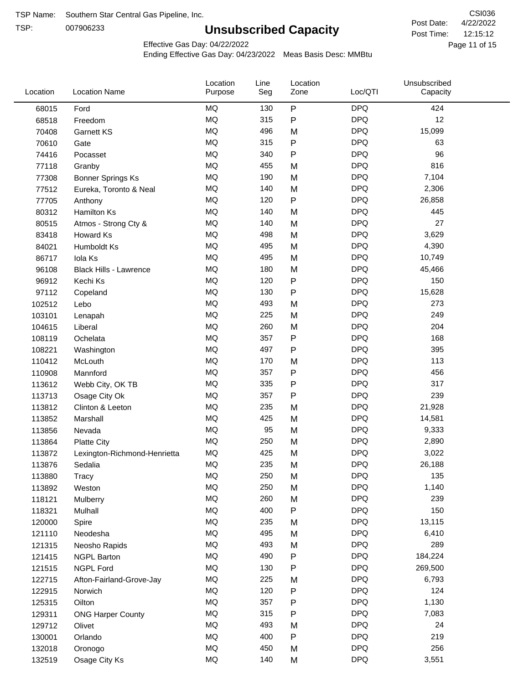TSP:

# **Unsubscribed Capacity**

4/22/2022 Page 11 of 15 12:15:12 CSI036 Post Date: Post Time:

Effective Gas Day: 04/22/2022

| Location | <b>Location Name</b>          | Location<br>Purpose | Line<br>Seg | Location<br>Zone | Loc/QTI    | Unsubscribed<br>Capacity |  |
|----------|-------------------------------|---------------------|-------------|------------------|------------|--------------------------|--|
| 68015    | Ford                          | MQ                  | 130         | P                | <b>DPQ</b> | 424                      |  |
| 68518    | Freedom                       | MQ                  | 315         | P                | <b>DPQ</b> | 12                       |  |
| 70408    | <b>Garnett KS</b>             | <b>MQ</b>           | 496         | M                | <b>DPQ</b> | 15,099                   |  |
| 70610    | Gate                          | <b>MQ</b>           | 315         | P                | <b>DPQ</b> | 63                       |  |
| 74416    | Pocasset                      | <b>MQ</b>           | 340         | P                | <b>DPQ</b> | 96                       |  |
| 77118    | Granby                        | MQ                  | 455         | M                | <b>DPQ</b> | 816                      |  |
| 77308    | <b>Bonner Springs Ks</b>      | MQ                  | 190         | M                | <b>DPQ</b> | 7,104                    |  |
| 77512    | Eureka, Toronto & Neal        | MQ                  | 140         | M                | <b>DPQ</b> | 2,306                    |  |
| 77705    | Anthony                       | <b>MQ</b>           | 120         | P                | <b>DPQ</b> | 26,858                   |  |
| 80312    | Hamilton Ks                   | <b>MQ</b>           | 140         | M                | <b>DPQ</b> | 445                      |  |
| 80515    | Atmos - Strong Cty &          | MQ                  | 140         | M                | <b>DPQ</b> | 27                       |  |
| 83418    | Howard Ks                     | <b>MQ</b>           | 498         | M                | <b>DPQ</b> | 3,629                    |  |
| 84021    | Humboldt Ks                   | <b>MQ</b>           | 495         | M                | <b>DPQ</b> | 4,390                    |  |
| 86717    | Iola Ks                       | <b>MQ</b>           | 495         | M                | <b>DPQ</b> | 10,749                   |  |
| 96108    | <b>Black Hills - Lawrence</b> | MQ                  | 180         | M                | <b>DPQ</b> | 45,466                   |  |
| 96912    | Kechi Ks                      | MQ                  | 120         | P                | <b>DPQ</b> | 150                      |  |
| 97112    | Copeland                      | <b>MQ</b>           | 130         | Ρ                | <b>DPQ</b> | 15,628                   |  |
| 102512   | Lebo                          | <b>MQ</b>           | 493         | M                | <b>DPQ</b> | 273                      |  |
| 103101   | Lenapah                       | <b>MQ</b>           | 225         | M                | <b>DPQ</b> | 249                      |  |
| 104615   | Liberal                       | MQ                  | 260         | M                | <b>DPQ</b> | 204                      |  |
| 108119   | Ochelata                      | MQ                  | 357         | P                | <b>DPQ</b> | 168                      |  |
| 108221   | Washington                    | MQ                  | 497         | P                | <b>DPQ</b> | 395                      |  |
| 110412   | McLouth                       | MQ                  | 170         | M                | <b>DPQ</b> | 113                      |  |
| 110908   | Mannford                      | MQ                  | 357         | P                | <b>DPQ</b> | 456                      |  |
| 113612   | Webb City, OK TB              | MQ                  | 335         | P                | <b>DPQ</b> | 317                      |  |
| 113713   | Osage City Ok                 | <b>MQ</b>           | 357         | P                | <b>DPQ</b> | 239                      |  |
| 113812   | Clinton & Leeton              | <b>MQ</b>           | 235         | M                | <b>DPQ</b> | 21,928                   |  |
| 113852   | Marshall                      | <b>MQ</b>           | 425         | M                | <b>DPQ</b> | 14,581                   |  |
| 113856   | Nevada                        | MQ                  | 95          | M                | <b>DPQ</b> | 9,333                    |  |
| 113864   | <b>Platte City</b>            | MQ                  | 250         | M                | <b>DPQ</b> | 2,890                    |  |
| 113872   | Lexington-Richmond-Henrietta  | <b>MQ</b>           | 425         | M                | <b>DPQ</b> | 3,022                    |  |
| 113876   | Sedalia                       | MQ                  | 235         | Μ                | <b>DPQ</b> | 26,188                   |  |
| 113880   | Tracy                         | MQ                  | 250         | M                | <b>DPQ</b> | 135                      |  |
| 113892   | Weston                        | $\sf{MQ}$           | 250         | M                | <b>DPQ</b> | 1,140                    |  |
| 118121   | Mulberry                      | MQ                  | 260         | M                | <b>DPQ</b> | 239                      |  |
| 118321   | Mulhall                       | MQ                  | 400         | P                | <b>DPQ</b> | 150                      |  |
| 120000   | Spire                         | MQ                  | 235         | M                | <b>DPQ</b> | 13,115                   |  |
| 121110   | Neodesha                      | MQ                  | 495         | M                | <b>DPQ</b> | 6,410                    |  |
| 121315   | Neosho Rapids                 | MQ                  | 493         | M                | <b>DPQ</b> | 289                      |  |
| 121415   | <b>NGPL Barton</b>            | MQ                  | 490         | Ρ                | <b>DPQ</b> | 184,224                  |  |
| 121515   | <b>NGPL Ford</b>              | MQ                  | 130         | P                | <b>DPQ</b> | 269,500                  |  |
| 122715   | Afton-Fairland-Grove-Jay      | MQ                  | 225         | M                | <b>DPQ</b> | 6,793                    |  |
| 122915   | Norwich                       | MQ                  | 120         | P                | <b>DPQ</b> | 124                      |  |
| 125315   | Oilton                        | MQ                  | 357         | P                | <b>DPQ</b> | 1,130                    |  |
| 129311   | <b>ONG Harper County</b>      | MQ                  | 315         | P                | <b>DPQ</b> | 7,083                    |  |
| 129712   | Olivet                        | MQ                  | 493         | M                | <b>DPQ</b> | 24                       |  |
| 130001   | Orlando                       | MQ                  | 400         | P                | <b>DPQ</b> | 219                      |  |
| 132018   | Oronogo                       | $\sf{MQ}$           | 450         | M                | <b>DPQ</b> | 256                      |  |
| 132519   | Osage City Ks                 | $\sf{MQ}$           | 140         | M                | <b>DPQ</b> | 3,551                    |  |
|          |                               |                     |             |                  |            |                          |  |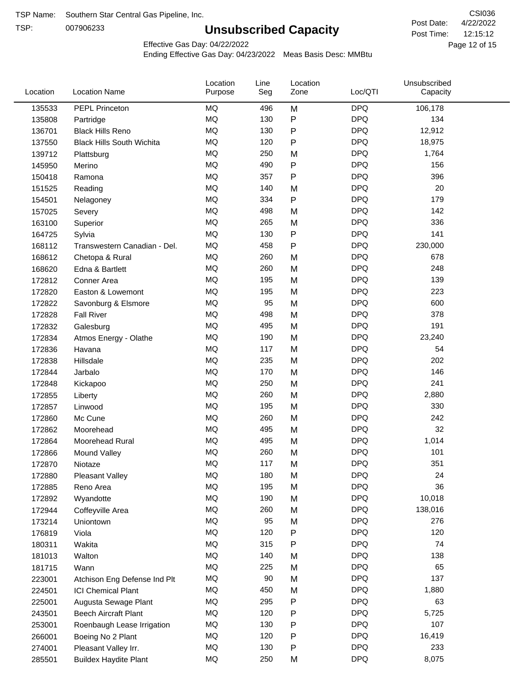TSP:

# **Unsubscribed Capacity**

4/22/2022 Page 12 of 15 12:15:12 CSI036 Post Date: Post Time:

Effective Gas Day: 04/22/2022

| Location | <b>Location Name</b>             | Location<br>Purpose | Line<br>Seg | Location<br>Zone | Loc/QTI    | Unsubscribed<br>Capacity |  |
|----------|----------------------------------|---------------------|-------------|------------------|------------|--------------------------|--|
| 135533   | PEPL Princeton                   | MQ                  | 496         | M                | <b>DPQ</b> | 106,178                  |  |
| 135808   | Partridge                        | MQ                  | 130         | P                | <b>DPQ</b> | 134                      |  |
| 136701   | <b>Black Hills Reno</b>          | MQ                  | 130         | P                | <b>DPQ</b> | 12,912                   |  |
| 137550   | <b>Black Hills South Wichita</b> | MQ                  | 120         | P                | <b>DPQ</b> | 18,975                   |  |
| 139712   | Plattsburg                       | MQ                  | 250         | M                | <b>DPQ</b> | 1,764                    |  |
| 145950   | Merino                           | MQ                  | 490         | P                | <b>DPQ</b> | 156                      |  |
| 150418   | Ramona                           | MQ                  | 357         | Ρ                | <b>DPQ</b> | 396                      |  |
| 151525   | Reading                          | MQ                  | 140         | M                | <b>DPQ</b> | 20                       |  |
| 154501   | Nelagoney                        | MQ                  | 334         | P                | <b>DPQ</b> | 179                      |  |
| 157025   | Severy                           | MQ                  | 498         | M                | <b>DPQ</b> | 142                      |  |
| 163100   | Superior                         | MQ                  | 265         | M                | <b>DPQ</b> | 336                      |  |
| 164725   | Sylvia                           | MQ                  | 130         | P                | <b>DPQ</b> | 141                      |  |
| 168112   | Transwestern Canadian - Del.     | MQ                  | 458         | P                | <b>DPQ</b> | 230,000                  |  |
| 168612   | Chetopa & Rural                  | MQ                  | 260         | M                | <b>DPQ</b> | 678                      |  |
| 168620   | Edna & Bartlett                  | MQ                  | 260         | M                | <b>DPQ</b> | 248                      |  |
| 172812   | Conner Area                      | MQ                  | 195         | M                | <b>DPQ</b> | 139                      |  |
| 172820   | Easton & Lowemont                | MQ                  | 195         | M                | <b>DPQ</b> | 223                      |  |
| 172822   | Savonburg & Elsmore              | MQ                  | 95          | M                | <b>DPQ</b> | 600                      |  |
| 172828   | <b>Fall River</b>                | MQ                  | 498         | M                | <b>DPQ</b> | 378                      |  |
| 172832   | Galesburg                        | <b>MQ</b>           | 495         | M                | <b>DPQ</b> | 191                      |  |
| 172834   | Atmos Energy - Olathe            | MQ                  | 190         | M                | <b>DPQ</b> | 23,240                   |  |
| 172836   | Havana                           | MQ                  | 117         | M                | <b>DPQ</b> | 54                       |  |
| 172838   | Hillsdale                        | MQ                  | 235         | M                | <b>DPQ</b> | 202                      |  |
| 172844   | Jarbalo                          | MQ                  | 170         | M                | <b>DPQ</b> | 146                      |  |
| 172848   | Kickapoo                         | <b>MQ</b>           | 250         | M                | <b>DPQ</b> | 241                      |  |
| 172855   | Liberty                          | MQ                  | 260         | M                | <b>DPQ</b> | 2,880                    |  |
| 172857   | Linwood                          | MQ                  | 195         | M                | <b>DPQ</b> | 330                      |  |
| 172860   | Mc Cune                          | MQ                  | 260         | M                | <b>DPQ</b> | 242                      |  |
| 172862   | Moorehead                        | MQ                  | 495         | M                | <b>DPQ</b> | 32                       |  |
| 172864   | Moorehead Rural                  | MQ                  | 495         | M                | <b>DPQ</b> | 1,014                    |  |
| 172866   | Mound Valley                     | MQ                  | 260         | M                | <b>DPQ</b> | 101                      |  |
| 172870   | Niotaze                          | MQ                  | 117         | M                | <b>DPQ</b> | 351                      |  |
| 172880   | <b>Pleasant Valley</b>           | MQ                  | 180         | M                | <b>DPQ</b> | 24                       |  |
| 172885   | Reno Area                        | MQ                  | 195         | M                | <b>DPQ</b> | 36                       |  |
| 172892   | Wyandotte                        | MQ                  | 190         | M                | <b>DPQ</b> | 10,018                   |  |
| 172944   | Coffeyville Area                 | MQ                  | 260         | M                | <b>DPQ</b> | 138,016                  |  |
| 173214   | Uniontown                        | MQ                  | 95          | M                | <b>DPQ</b> | 276                      |  |
| 176819   | Viola                            | MQ                  | 120         | P                | <b>DPQ</b> | 120                      |  |
| 180311   | Wakita                           | MQ                  | 315         | Ρ                | <b>DPQ</b> | 74                       |  |
| 181013   | Walton                           | MQ                  | 140         | M                | <b>DPQ</b> | 138                      |  |
| 181715   | Wann                             | MQ                  | 225         | M                | <b>DPQ</b> | 65                       |  |
| 223001   | Atchison Eng Defense Ind Plt     | MQ                  | 90          | M                | <b>DPQ</b> | 137                      |  |
| 224501   | <b>ICI Chemical Plant</b>        | MQ                  | 450         | M                | <b>DPQ</b> | 1,880                    |  |
| 225001   | Augusta Sewage Plant             | MQ                  | 295         | P                | <b>DPQ</b> | 63                       |  |
| 243501   | <b>Beech Aircraft Plant</b>      | MQ                  | 120         | P                | <b>DPQ</b> | 5,725                    |  |
| 253001   | Roenbaugh Lease Irrigation       | MQ                  | 130         | P                | <b>DPQ</b> | 107                      |  |
| 266001   | Boeing No 2 Plant                | MQ                  | 120         | P                | <b>DPQ</b> | 16,419                   |  |
| 274001   | Pleasant Valley Irr.             | MQ                  | 130         | P                | <b>DPQ</b> | 233                      |  |
| 285501   | <b>Buildex Haydite Plant</b>     | MQ                  | 250         | M                | <b>DPQ</b> | 8,075                    |  |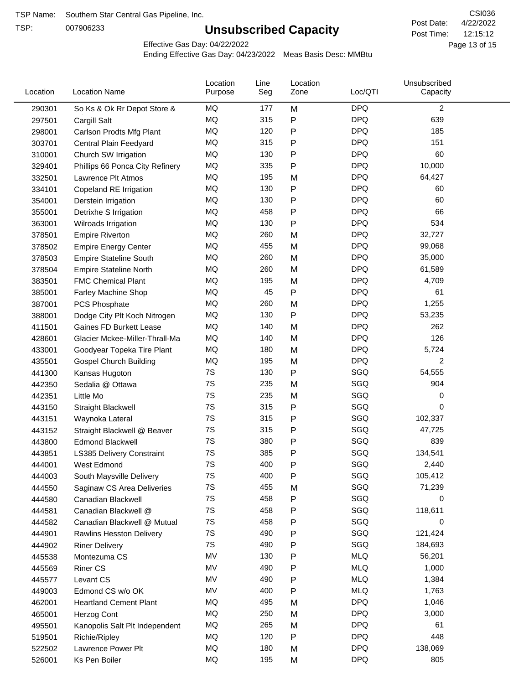TSP:

# **Unsubscribed Capacity**

4/22/2022 Page 13 of 15 12:15:12 CSI036 Post Date: Post Time:

Effective Gas Day: 04/22/2022

| Location | <b>Location Name</b>            | Location<br>Purpose | Line<br>Seg | Location<br>Zone | Loc/QTI    | Unsubscribed<br>Capacity |  |
|----------|---------------------------------|---------------------|-------------|------------------|------------|--------------------------|--|
| 290301   | So Ks & Ok Rr Depot Store &     | MQ                  | 177         | M                | <b>DPQ</b> | $\overline{c}$           |  |
| 297501   | Cargill Salt                    | <b>MQ</b>           | 315         | P                | <b>DPQ</b> | 639                      |  |
| 298001   | Carlson Prodts Mfg Plant        | MQ                  | 120         | P                | <b>DPQ</b> | 185                      |  |
| 303701   | Central Plain Feedyard          | <b>MQ</b>           | 315         | P                | <b>DPQ</b> | 151                      |  |
| 310001   | Church SW Irrigation            | MQ                  | 130         | Ρ                | <b>DPQ</b> | 60                       |  |
| 329401   | Phillips 66 Ponca City Refinery | MQ                  | 335         | P                | <b>DPQ</b> | 10,000                   |  |
| 332501   | Lawrence Plt Atmos              | MQ                  | 195         | M                | <b>DPQ</b> | 64,427                   |  |
| 334101   | Copeland RE Irrigation          | MQ                  | 130         | P                | <b>DPQ</b> | 60                       |  |
| 354001   | Derstein Irrigation             | MQ                  | 130         | P                | <b>DPQ</b> | 60                       |  |
| 355001   | Detrixhe S Irrigation           | MQ                  | 458         | Ρ                | <b>DPQ</b> | 66                       |  |
| 363001   | Wilroads Irrigation             | MQ                  | 130         | P                | <b>DPQ</b> | 534                      |  |
| 378501   | <b>Empire Riverton</b>          | MQ                  | 260         | M                | <b>DPQ</b> | 32,727                   |  |
| 378502   | <b>Empire Energy Center</b>     | MQ                  | 455         | M                | <b>DPQ</b> | 99,068                   |  |
| 378503   | <b>Empire Stateline South</b>   | MQ                  | 260         | M                | <b>DPQ</b> | 35,000                   |  |
| 378504   | <b>Empire Stateline North</b>   | MQ                  | 260         | M                | <b>DPQ</b> | 61,589                   |  |
| 383501   | <b>FMC Chemical Plant</b>       | MQ                  | 195         | M                | <b>DPQ</b> | 4,709                    |  |
| 385001   | Farley Machine Shop             | MQ                  | 45          | P                | <b>DPQ</b> | 61                       |  |
| 387001   | <b>PCS Phosphate</b>            | MQ                  | 260         | M                | <b>DPQ</b> | 1,255                    |  |
| 388001   | Dodge City Plt Koch Nitrogen    | MQ                  | 130         | P                | <b>DPQ</b> | 53,235                   |  |
| 411501   | Gaines FD Burkett Lease         | MQ                  | 140         | M                | <b>DPQ</b> | 262                      |  |
| 428601   | Glacier Mckee-Miller-Thrall-Ma  | MQ                  | 140         | M                | <b>DPQ</b> | 126                      |  |
| 433001   | Goodyear Topeka Tire Plant      | MQ                  | 180         | M                | <b>DPQ</b> | 5,724                    |  |
| 435501   | <b>Gospel Church Building</b>   | MQ                  | 195         | M                | <b>DPQ</b> | $\overline{2}$           |  |
| 441300   | Kansas Hugoton                  | 7S                  | 130         | P                | SGQ        | 54,555                   |  |
| 442350   | Sedalia @ Ottawa                | 7S                  | 235         | M                | SGQ        | 904                      |  |
| 442351   | Little Mo                       | 7S                  | 235         | M                | SGQ        | 0                        |  |
| 443150   | <b>Straight Blackwell</b>       | 7S                  | 315         | P                | SGQ        | 0                        |  |
| 443151   | Waynoka Lateral                 | 7S                  | 315         | Ρ                | SGQ        | 102,337                  |  |
| 443152   | Straight Blackwell @ Beaver     | 7S                  | 315         | P                | SGQ        | 47,725                   |  |
| 443800   | <b>Edmond Blackwell</b>         | 7S                  | 380         | P                | SGQ        | 839                      |  |
| 443851   | LS385 Delivery Constraint       | 7S                  | 385         | Ρ                | SGQ        | 134,541                  |  |
| 444001   | West Edmond                     | 7S                  | 400         | Ρ                | SGQ        | 2,440                    |  |
| 444003   | South Maysville Delivery        | 7S                  | 400         | Ρ                | SGQ        | 105,412                  |  |
| 444550   | Saginaw CS Area Deliveries      | 7S                  | 455         | M                | SGQ        | 71,239                   |  |
| 444580   | Canadian Blackwell              | 7S                  | 458         | P                | SGQ        | 0                        |  |
| 444581   | Canadian Blackwell @            | 7S                  | 458         | P                | SGQ        | 118,611                  |  |
| 444582   | Canadian Blackwell @ Mutual     | 7S                  | 458         | P                | SGQ        | 0                        |  |
| 444901   | Rawlins Hesston Delivery        | 7S                  | 490         | P                | SGQ        | 121,424                  |  |
| 444902   | <b>Riner Delivery</b>           | 7S                  | 490         | P                | SGQ        | 184,693                  |  |
| 445538   | Montezuma CS                    | MV                  | 130         | Ρ                | <b>MLQ</b> | 56,201                   |  |
| 445569   | <b>Riner CS</b>                 | MV                  | 490         | P                | <b>MLQ</b> | 1,000                    |  |
| 445577   | Levant CS                       | MV                  | 490         | P                | <b>MLQ</b> | 1,384                    |  |
| 449003   | Edmond CS w/o OK                | MV                  | 400         | P                | <b>MLQ</b> | 1,763                    |  |
| 462001   | <b>Heartland Cement Plant</b>   | MQ                  | 495         | M                | <b>DPQ</b> | 1,046                    |  |
| 465001   | Herzog Cont                     | MQ                  | 250         | M                | <b>DPQ</b> | 3,000                    |  |
| 495501   | Kanopolis Salt Plt Independent  | MQ                  | 265         | M                | <b>DPQ</b> | 61                       |  |
| 519501   | Richie/Ripley                   | MQ                  | 120         | P                | <b>DPQ</b> | 448                      |  |
| 522502   | Lawrence Power Plt              | MQ                  | 180         | M                | <b>DPQ</b> | 138,069                  |  |
| 526001   | Ks Pen Boiler                   | MQ                  | 195         | M                | <b>DPQ</b> | 805                      |  |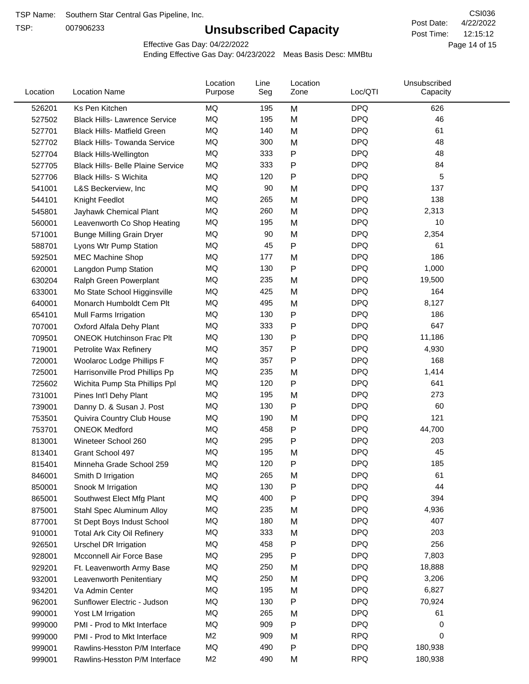TSP:

# **Unsubscribed Capacity**

4/22/2022 Page 14 of 15 12:15:12 CSI036 Post Date: Post Time:

Effective Gas Day: 04/22/2022

| Location | <b>Location Name</b>                     | Location<br>Purpose | Line<br>Seg | Location<br>Zone | Loc/QTI    | Unsubscribed<br>Capacity |  |
|----------|------------------------------------------|---------------------|-------------|------------------|------------|--------------------------|--|
| 526201   | Ks Pen Kitchen                           | MQ                  | 195         | M                | <b>DPQ</b> | 626                      |  |
| 527502   | <b>Black Hills- Lawrence Service</b>     | MQ                  | 195         | M                | <b>DPQ</b> | 46                       |  |
| 527701   | <b>Black Hills- Matfield Green</b>       | MQ                  | 140         | M                | <b>DPQ</b> | 61                       |  |
| 527702   | <b>Black Hills- Towanda Service</b>      | MQ                  | 300         | M                | <b>DPQ</b> | 48                       |  |
| 527704   | <b>Black Hills-Wellington</b>            | MQ                  | 333         | P                | <b>DPQ</b> | 48                       |  |
| 527705   | <b>Black Hills- Belle Plaine Service</b> | MQ                  | 333         | Ρ                | <b>DPQ</b> | 84                       |  |
| 527706   | <b>Black Hills- S Wichita</b>            | MQ                  | 120         | P                | <b>DPQ</b> | 5                        |  |
| 541001   | L&S Beckerview, Inc                      | MQ                  | 90          | M                | <b>DPQ</b> | 137                      |  |
| 544101   | Knight Feedlot                           | MQ                  | 265         | M                | <b>DPQ</b> | 138                      |  |
| 545801   | Jayhawk Chemical Plant                   | MQ                  | 260         | M                | <b>DPQ</b> | 2,313                    |  |
| 560001   | Leavenworth Co Shop Heating              | MQ                  | 195         | M                | <b>DPQ</b> | 10                       |  |
| 571001   | <b>Bunge Milling Grain Dryer</b>         | MQ                  | 90          | M                | <b>DPQ</b> | 2,354                    |  |
| 588701   | Lyons Wtr Pump Station                   | MQ                  | 45          | P                | <b>DPQ</b> | 61                       |  |
| 592501   | <b>MEC Machine Shop</b>                  | MQ                  | 177         | M                | <b>DPQ</b> | 186                      |  |
| 620001   | Langdon Pump Station                     | MQ                  | 130         | Ρ                | <b>DPQ</b> | 1,000                    |  |
| 630204   | Ralph Green Powerplant                   | MQ                  | 235         | M                | <b>DPQ</b> | 19,500                   |  |
| 633001   | Mo State School Higginsville             | MQ                  | 425         | M                | <b>DPQ</b> | 164                      |  |
| 640001   | Monarch Humboldt Cem Plt                 | MQ                  | 495         | M                | <b>DPQ</b> | 8,127                    |  |
| 654101   | Mull Farms Irrigation                    | MQ                  | 130         | P                | <b>DPQ</b> | 186                      |  |
| 707001   | Oxford Alfala Dehy Plant                 | MQ                  | 333         | P                | <b>DPQ</b> | 647                      |  |
| 709501   | <b>ONEOK Hutchinson Frac Plt</b>         | MQ                  | 130         | Ρ                | <b>DPQ</b> | 11,186                   |  |
| 719001   | Petrolite Wax Refinery                   | MQ                  | 357         | Ρ                | <b>DPQ</b> | 4,930                    |  |
| 720001   | Woolaroc Lodge Phillips F                | MQ                  | 357         | Ρ                | <b>DPQ</b> | 168                      |  |
| 725001   | Harrisonville Prod Phillips Pp           | MQ                  | 235         | M                | <b>DPQ</b> | 1,414                    |  |
| 725602   | Wichita Pump Sta Phillips Ppl            | MQ                  | 120         | P                | <b>DPQ</b> | 641                      |  |
| 731001   | Pines Int'l Dehy Plant                   | MQ                  | 195         | M                | <b>DPQ</b> | 273                      |  |
| 739001   | Danny D. & Susan J. Post                 | MQ                  | 130         | P                | <b>DPQ</b> | 60                       |  |
| 753501   | Quivira Country Club House               | MQ                  | 190         | M                | <b>DPQ</b> | 121                      |  |
| 753701   | <b>ONEOK Medford</b>                     | MQ                  | 458         | P                | <b>DPQ</b> | 44,700                   |  |
| 813001   | Wineteer School 260                      | MQ                  | 295         | Ρ                | <b>DPQ</b> | 203                      |  |
| 813401   | Grant School 497                         | MQ                  | 195         | M                | <b>DPQ</b> | 45                       |  |
| 815401   | Minneha Grade School 259                 | MQ                  | 120         | Ρ                | <b>DPQ</b> | 185                      |  |
| 846001   | Smith D Irrigation                       | MQ                  | 265         | M                | <b>DPQ</b> | 61                       |  |
| 850001   | Snook M Irrigation                       | MQ                  | 130         | P                | <b>DPQ</b> | 44                       |  |
| 865001   | Southwest Elect Mfg Plant                | MQ                  | 400         | Ρ                | <b>DPQ</b> | 394                      |  |
| 875001   | Stahl Spec Aluminum Alloy                | MQ                  | 235         | M                | <b>DPQ</b> | 4,936                    |  |
| 877001   | St Dept Boys Indust School               | MQ                  | 180         | M                | <b>DPQ</b> | 407                      |  |
| 910001   | <b>Total Ark City Oil Refinery</b>       | MQ                  | 333         | M                | <b>DPQ</b> | 203                      |  |
| 926501   | <b>Urschel DR Irrigation</b>             | MQ                  | 458         | Ρ                | <b>DPQ</b> | 256                      |  |
| 928001   | Mcconnell Air Force Base                 | MQ                  | 295         | Ρ                | <b>DPQ</b> | 7,803                    |  |
| 929201   | Ft. Leavenworth Army Base                | MQ                  | 250         | M                | <b>DPQ</b> | 18,888                   |  |
| 932001   | Leavenworth Penitentiary                 | MQ                  | 250         | M                | <b>DPQ</b> | 3,206                    |  |
| 934201   | Va Admin Center                          | MQ                  | 195         | M                | <b>DPQ</b> | 6,827                    |  |
| 962001   | Sunflower Electric - Judson              | MQ                  | 130         | Ρ                | <b>DPQ</b> | 70,924                   |  |
| 990001   | Yost LM Irrigation                       | MQ                  | 265         | M                | <b>DPQ</b> | 61                       |  |
| 999000   | PMI - Prod to Mkt Interface              | MQ                  | 909         | P                | <b>DPQ</b> | 0                        |  |
| 999000   | PMI - Prod to Mkt Interface              | M <sub>2</sub>      | 909         | M                | <b>RPQ</b> | 0                        |  |
| 999001   | Rawlins-Hesston P/M Interface            | MQ                  | 490         | P                | <b>DPQ</b> | 180,938                  |  |
| 999001   | Rawlins-Hesston P/M Interface            | M <sub>2</sub>      | 490         | М                | <b>RPQ</b> | 180,938                  |  |